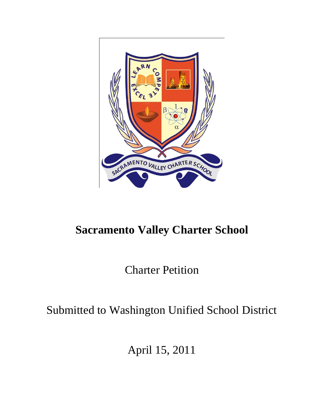

# **Sacramento Valley Charter School**

Charter Petition

Submitted to Washington Unified School District

April 15, 2011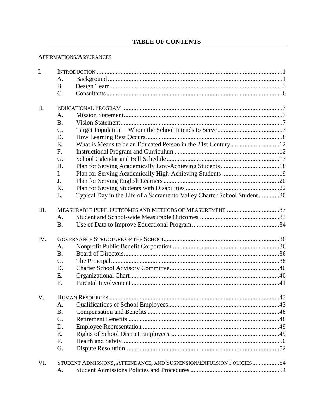# **TABLE OF CONTENTS**

## AFFIRMATIONS/ASSURANCES

| $\mathbf{I}$ . |                                                         |                                                                         |  |  |
|----------------|---------------------------------------------------------|-------------------------------------------------------------------------|--|--|
|                | A.                                                      |                                                                         |  |  |
|                | <b>B.</b>                                               |                                                                         |  |  |
|                | $C$ .                                                   |                                                                         |  |  |
| II.            |                                                         |                                                                         |  |  |
|                | A.                                                      |                                                                         |  |  |
|                | <b>B.</b>                                               |                                                                         |  |  |
|                | $C$ .                                                   |                                                                         |  |  |
|                | D.                                                      |                                                                         |  |  |
|                | E.                                                      |                                                                         |  |  |
|                | F.                                                      |                                                                         |  |  |
|                | G.                                                      |                                                                         |  |  |
|                | H.                                                      |                                                                         |  |  |
|                | L.                                                      |                                                                         |  |  |
|                | J.                                                      |                                                                         |  |  |
|                | K.                                                      |                                                                         |  |  |
|                | L.                                                      | Typical Day in the Life of a Sacramento Valley Charter School Student30 |  |  |
| III.           | MEASURABLE PUPIL OUTCOMES AND METHODS OF MEASUREMENT 33 |                                                                         |  |  |
|                | A.                                                      |                                                                         |  |  |
|                | <b>B.</b>                                               |                                                                         |  |  |
| IV.            |                                                         |                                                                         |  |  |
|                | A.                                                      |                                                                         |  |  |
|                | <b>B.</b>                                               |                                                                         |  |  |
|                | $C$ .                                                   |                                                                         |  |  |
|                | D.                                                      |                                                                         |  |  |
|                | E.                                                      |                                                                         |  |  |
|                | F.                                                      |                                                                         |  |  |
| V.             |                                                         |                                                                         |  |  |
|                | A.                                                      |                                                                         |  |  |
|                | <b>B.</b>                                               |                                                                         |  |  |
|                | C.                                                      |                                                                         |  |  |
|                | D.                                                      |                                                                         |  |  |
|                | Ε.                                                      |                                                                         |  |  |
|                | F.                                                      |                                                                         |  |  |
|                | G.                                                      |                                                                         |  |  |
| VI.            |                                                         | STUDENT ADMISSIONS, ATTENDANCE, AND SUSPENSION/EXPULSION POLICIES54     |  |  |
|                | A.                                                      |                                                                         |  |  |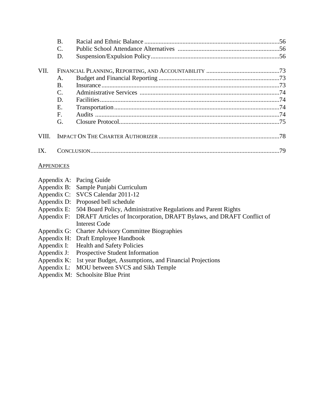|       | <b>B.</b><br>C.<br>D. |  |
|-------|-----------------------|--|
| VII.  |                       |  |
|       | A.                    |  |
|       | B.                    |  |
|       | C.                    |  |
|       | D.                    |  |
|       | Ε.                    |  |
|       | F.                    |  |
|       | G.                    |  |
| VIII. |                       |  |
| IX.   |                       |  |

#### **APPENDICES**

| Appendix A: Pacing Guide                                                         |
|----------------------------------------------------------------------------------|
| Appendix B: Sample Punjabi Curriculum                                            |
| Appendix C: SVCS Calendar 2011-12                                                |
| Appendix D: Proposed bell schedule                                               |
| Appendix E: 504 Board Policy, Administrative Regulations and Parent Rights       |
| Appendix F: DRAFT Articles of Incorporation, DRAFT Bylaws, and DRAFT Conflict of |
| Interest Code                                                                    |

- Appendix G: Charter Advisory Committee Biographies
- Appendix H: Draft Employee Handbook
- Appendix I: Health and Safety Policies
- Appendix J: Prospective Student Information
- Appendix K: 1st year Budget, Assumptions, and Financial Projections
- Appendix L: MOU between SVCS and Sikh Temple
- Appendix M: Schoolsite Blue Print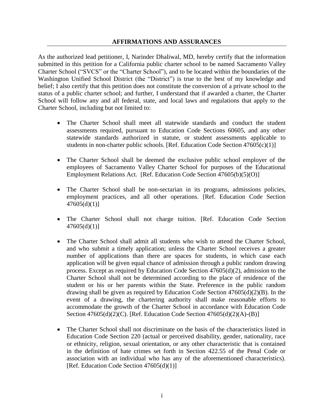#### **AFFIRMATIONS AND ASSURANCES**

As the authorized lead petitioner, I, Narinder Dhaliwal, MD, hereby certify that the information submitted in this petition for a California public charter school to be named Sacramento Valley Charter School ("SVCS" or the "Charter School"), and to be located within the boundaries of the Washington Unified School District (the "District") is true to the best of my knowledge and belief; I also certify that this petition does not constitute the conversion of a private school to the status of a public charter school; and further, I understand that if awarded a charter, the Charter School will follow any and all federal, state, and local laws and regulations that apply to the Charter School, including but not limited to:

- The Charter School shall meet all statewide standards and conduct the student assessments required, pursuant to Education Code Sections 60605, and any other statewide standards authorized in statute, or student assessments applicable to students in non-charter public schools. [Ref. Education Code Section  $47605(c)(1)$ ]
- The Charter School shall be deemed the exclusive public school employer of the employees of Sacramento Valley Charter School for purposes of the Educational Employment Relations Act. [Ref. Education Code Section 47605(b)(5)(O)]
- The Charter School shall be non-sectarian in its programs, admissions policies, employment practices, and all other operations. [Ref. Education Code Section  $47605(d)(1)$ ]
- The Charter School shall not charge tuition. [Ref. Education Code Section  $47605(d)(1)$ ]
- The Charter School shall admit all students who wish to attend the Charter School, and who submit a timely application; unless the Charter School receives a greater number of applications than there are spaces for students, in which case each application will be given equal chance of admission through a public random drawing process. Except as required by Education Code Section 47605(d)(2), admission to the Charter School shall not be determined according to the place of residence of the student or his or her parents within the State. Preference in the public random drawing shall be given as required by Education Code Section 47605(d)(2)(B). In the event of a drawing, the chartering authority shall make reasonable efforts to accommodate the growth of the Charter School in accordance with Education Code Section 47605(d)(2)(C). [Ref. Education Code Section 47605(d)(2)(A)-(B)]
- The Charter School shall not discriminate on the basis of the characteristics listed in Education Code Section 220 (actual or perceived disability, gender, nationality, race or ethnicity, religion, sexual orientation, or any other characteristic that is contained in the definition of hate crimes set forth in Section 422.55 of the Penal Code or association with an individual who has any of the aforementioned characteristics). [Ref. Education Code Section 47605(d)(1)]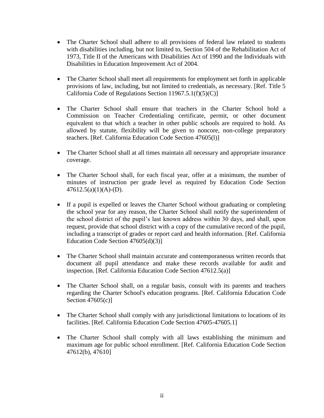- The Charter School shall adhere to all provisions of federal law related to students with disabilities including, but not limited to, Section 504 of the Rehabilitation Act of 1973, Title II of the Americans with Disabilities Act of 1990 and the Individuals with Disabilities in Education Improvement Act of 2004.
- The Charter School shall meet all requirements for employment set forth in applicable provisions of law, including, but not limited to credentials, as necessary. [Ref. Title 5 California Code of Regulations Section 11967.5.1(f)(5)(C)]
- The Charter School shall ensure that teachers in the Charter School hold a Commission on Teacher Credentialing certificate, permit, or other document equivalent to that which a teacher in other public schools are required to hold. As allowed by statute, flexibility will be given to noncore, non-college preparatory teachers. [Ref. California Education Code Section 47605(l)]
- The Charter School shall at all times maintain all necessary and appropriate insurance coverage.
- The Charter School shall, for each fiscal year, offer at a minimum, the number of minutes of instruction per grade level as required by Education Code Section  $47612.5(a)(1)(A)- (D)$ .
- If a pupil is expelled or leaves the Charter School without graduating or completing the school year for any reason, the Charter School shall notify the superintendent of the school district of the pupil's last known address within 30 days, and shall, upon request, provide that school district with a copy of the cumulative record of the pupil, including a transcript of grades or report card and health information. [Ref. California Education Code Section 47605(d)(3)]
- The Charter School shall maintain accurate and contemporaneous written records that document all pupil attendance and make these records available for audit and inspection. [Ref. California Education Code Section 47612.5(a)]
- The Charter School shall, on a regular basis, consult with its parents and teachers regarding the Charter School's education programs. [Ref. California Education Code Section 47605(c)]
- The Charter School shall comply with any jurisdictional limitations to locations of its facilities. [Ref. California Education Code Section 47605-47605.1]
- The Charter School shall comply with all laws establishing the minimum and maximum age for public school enrollment. [Ref. California Education Code Section 47612(b), 47610]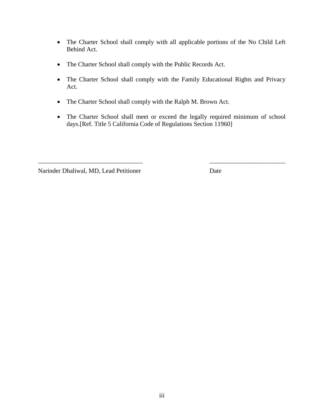- The Charter School shall comply with all applicable portions of the No Child Left Behind Act.
- The Charter School shall comply with the Public Records Act.
- The Charter School shall comply with the Family Educational Rights and Privacy Act.
- The Charter School shall comply with the Ralph M. Brown Act.
- The Charter School shall meet or exceed the legally required minimum of school days.[Ref. Title 5 California Code of Regulations Section 11960]

\_\_\_\_\_\_\_\_\_\_\_\_\_\_\_\_\_\_\_\_\_\_\_\_\_\_\_\_\_\_\_\_\_ \_\_\_\_\_\_\_\_\_\_\_\_\_\_\_\_\_\_\_\_\_\_\_\_

Narinder Dhaliwal, MD, Lead Petitioner Date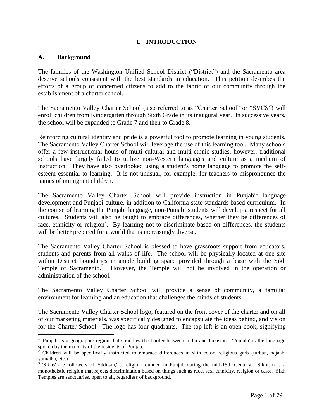#### **A. Background**

 $\overline{a}$ 

The families of the Washington Unified School District ("District") and the Sacramento area deserve schools consistent with the best standards in education. This petition describes the efforts of a group of concerned citizens to add to the fabric of our community through the establishment of a charter school.

The Sacramento Valley Charter School (also referred to as "Charter School" or "SVCS") will enroll children from Kindergarten through Sixth Grade in its inaugural year. In successive years, the school will be expanded to Grade 7 and then to Grade 8.

Reinforcing cultural identity and pride is a powerful tool to promote learning in young students. The Sacramento Valley Charter School will leverage the use of this learning tool. Many schools offer a few instructional hours of multi-cultural and multi-ethnic studies, however, traditional schools have largely failed to utilize non-Western languages and culture as a medium of instruction. They have also overlooked using a student's home language to promote the selfesteem essential to learning. It is not unusual, for example, for teachers to mispronounce the names of immigrant children.

The Sacramento Valley Charter School will provide instruction in Punjabi<sup>1</sup> language development and Punjabi culture, in addition to California state standards based curriculum. In the course of learning the Punjabi language, non-Punjabi students will develop a respect for all cultures. Students will also be taught to embrace differences, whether they be differences of race, ethnicity or religion<sup>2</sup>. By learning not to discriminate based on differences, the students will be better prepared for a world that is increasingly diverse.

The Sacramento Valley Charter School is blessed to have grassroots support from educators, students and parents from all walks of life. The school will be physically located at one site within District boundaries in ample building space provided through a lease with the Sikh Temple of Sacramento.<sup>3</sup> However, the Temple will not be involved in the operation or administration of the school.

The Sacramento Valley Charter School will provide a sense of community, a familiar environment for learning and an education that challenges the minds of students.

The Sacramento Valley Charter School logo, featured on the front cover of the charter and on all of our marketing materials, was specifically designed to encapsulate the ideas behind, and vision for the Charter School. The logo has four quadrants. The top left is an open book, signifying

<sup>&</sup>lt;sup>1</sup> 'Punjab' is a geographic region that straddles the border between India and Pakistan. 'Punjabi' is the language spoken by the majority of the residents of Punjab.

<sup>2</sup> Children will be specifically instructed to embrace differences in skin color, religious garb (turban, hajaab, yamalka, etc.)<br><sup>3</sup> 'Sikhe' ere.

<sup>&#</sup>x27;Sikhs' are followers of 'Sikhism,' a religion founded in Punjab during the mid-15th Century. Sikhism is a monotheistic religion that rejects discrimination based on things such as race, sex, ethnicity, religion or caste. Sikh Temples are sanctuaries, open to all, regardless of background.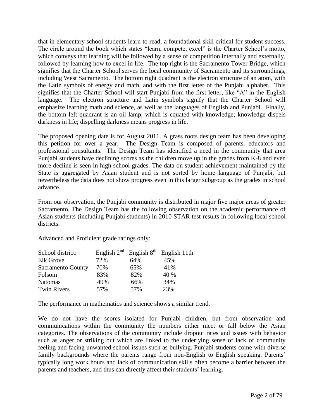that in elementary school students learn to read, a foundational skill critical for student success. The circle around the book which states "learn, compete, excel" is the Charter School's motto, which conveys that learning will be followed by a sense of competition internally and externally, followed by learning how to excel in life. The top right is the Sacramento Tower Bridge, which signifies that the Charter School serves the local community of Sacramento and its surroundings, including West Sacramento. The bottom right quadrant is the electron structure of an atom, with the Latin symbols of energy and math, and with the first letter of the Punjabi alphabet. This signifies that the Charter School will start Punjabi from the first letter, like "A" in the English language. The electron structure and Latin symbols signify that the Charter School will emphasize learning math and science, as well as the languages of English and Punjabi. Finally, the bottom left quadrant is an oil lamp, which is equated with knowledge; knowledge dispels darkness in life; dispelling darkness means progress in life.

The proposed opening date is for August 2011. A grass roots design team has been developing this petition for over a year. The Design Team is composed of parents, educators and professional consultants. The Design Team has identified a need in the community that area Punjabi students have declining scores as the children move up in the grades from K-8 and even more decline is seen in high school grades. The data on student achievement maintained by the State is aggregated by Asian student and is not sorted by home language of Punjabi, but nevertheless the data does not show progress even in this larger subgroup as the grades in school advance.

From our observation, the Punjabi community is distributed in major five major areas of greater Sacramento. The Design Team has the following observation on the academic performance of Asian students (including Punjabi students) in 2010 STAR test results in following local school districts.

Advanced and Proficient grade ratings only:

| School district:         |     |     | English $2^{nd}$ English $8^{th}$ English 11th |
|--------------------------|-----|-----|------------------------------------------------|
| <b>Elk Grove</b>         | 72% | 64% | 45%                                            |
| <b>Sacramento County</b> | 70% | 65% | 41%                                            |
| Folsom                   | 83% | 82% | 40 %                                           |
| <b>Natomas</b>           | 49% | 66% | 34%                                            |
| <b>Twin Rivers</b>       | 57% | 57% | 23%                                            |

The performance in mathematics and science shows a similar trend.

We do not have the scores isolated for Punjabi children, but from observation and communications within the community the numbers either meet or fall below the Asian categories. The observations of the community include dropout rates and issues with behavior such as anger or striking out which are linked to the underlying sense of lack of community feeling and facing unwanted school issues such as bullying. Punjabi students come with diverse family backgrounds where the parents range from non-English to English speaking. Parents' typically long work hours and lack of communication skills often become a barrier between the parents and teachers, and thus can directly affect their students' learning.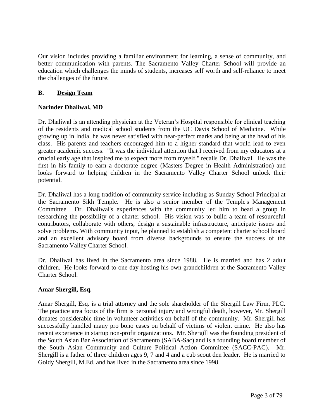Our vision includes providing a familiar environment for learning, a sense of community, and better communication with parents. The Sacramento Valley Charter School will provide an education which challenges the minds of students, increases self worth and self-reliance to meet the challenges of the future.

## **B. Design Team**

## **Narinder Dhaliwal, MD**

Dr. Dhaliwal is an attending physician at the Veteran's Hospital responsible for clinical teaching of the residents and medical school students from the UC Davis School of Medicine. While growing up in India, he was never satisfied with near-perfect marks and being at the head of his class. His parents and teachers encouraged him to a higher standard that would lead to even greater academic success. "It was the individual attention that I received from my educators at a crucial early age that inspired me to expect more from myself," recalls Dr. Dhaliwal. He was the first in his family to earn a doctorate degree (Masters Degree in Health Administration) and looks forward to helping children in the Sacramento Valley Charter School unlock their potential.

Dr. Dhaliwal has a long tradition of community service including as Sunday School Principal at the Sacramento Sikh Temple. He is also a senior member of the Temple's Management Committee. Dr. Dhaliwal's experiences with the community led him to head a group in researching the possibility of a charter school. His vision was to build a team of resourceful contributors, collaborate with others, design a sustainable infrastructure, anticipate issues and solve problems. With community input, he planned to establish a competent charter school board and an excellent advisory board from diverse backgrounds to ensure the success of the Sacramento Valley Charter School.

Dr. Dhaliwal has lived in the Sacramento area since 1988. He is married and has 2 adult children. He looks forward to one day hosting his own grandchildren at the Sacramento Valley Charter School.

#### **Amar Shergill, Esq.**

Amar Shergill, Esq. is a trial attorney and the sole shareholder of the Shergill Law Firm, PLC. The practice area focus of the firm is personal injury and wrongful death, however, Mr. Shergill donates considerable time in volunteer activities on behalf of the community. Mr. Shergill has successfully handled many pro bono cases on behalf of victims of violent crime. He also has recent experience in startup non-profit organizations. Mr. Shergill was the founding president of the South Asian Bar Association of Sacramento (SABA-Sac) and is a founding board member of the South Asian Community and Culture Political Action Committee (SACC-PAC). Mr. Shergill is a father of three children ages 9, 7 and 4 and a cub scout den leader. He is married to Goldy Shergill, M.Ed. and has lived in the Sacramento area since 1998.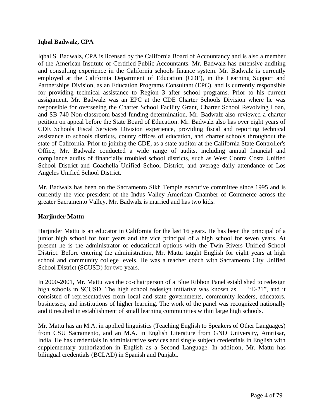#### **Iqbal Badwalz, CPA**

Iqbal S. Badwalz, CPA is licensed by the California Board of Accountancy and is also a member of the American Institute of Certified Public Accountants. Mr. Badwalz has extensive auditing and consulting experience in the California schools finance system. Mr. Badwalz is currently employed at the California Department of Education (CDE), in the Learning Support and Partnerships Division, as an Education Programs Consultant (EPC), and is currently responsible for providing technical assistance to Region 3 after school programs. Prior to his current assignment, Mr. Badwalz was an EPC at the CDE Charter Schools Division where he was responsible for overseeing the Charter School Facility Grant, Charter School Revolving Loan, and SB 740 Non-classroom based funding determination. Mr. Badwalz also reviewed a charter petition on appeal before the State Board of Education. Mr. Badwalz also has over eight years of CDE Schools Fiscal Services Division experience, providing fiscal and reporting technical assistance to schools districts, county offices of education, and charter schools throughout the state of California. Prior to joining the CDE, as a state auditor at the California State Controller's Office, Mr. Badwalz conducted a wide range of audits, including annual financial and compliance audits of financially troubled school districts, such as West Contra Costa Unified School District and Coachella Unified School District, and average daily attendance of Los Angeles Unified School District.

Mr. Badwalz has been on the Sacramento Sikh Temple executive committee since 1995 and is currently the vice-president of the Indus Valley American Chamber of Commerce across the greater Sacramento Valley. Mr. Badwalz is married and has two kids.

#### **Harjinder Mattu**

Harjinder Mattu is an educator in California for the last 16 years. He has been the principal of a junior high school for four years and the vice principal of a high school for seven years. At present he is the administrator of educational options with the Twin Rivers Unified School District. Before entering the administration, Mr. Mattu taught English for eight years at high school and community college levels. He was a teacher coach with Sacramento City Unified School District (SCUSD) for two years.

In 2000-2001, Mr. Mattu was the co-chairperson of a Blue Ribbon Panel established to redesign high schools in SCUSD. The high school redesign initiative was known as  $E=21$ , and it consisted of representatives from local and state governments, community leaders, educators, businesses, and institutions of higher learning. The work of the panel was recognized nationally and it resulted in establishment of small learning communities within large high schools.

Mr. Mattu has an M.A. in applied linguistics (Teaching English to Speakers of Other Languages) from CSU Sacramento, and an M.A. in English Literature from GND University, Amritsar, India. He has credentials in administrative services and single subject credentials in English with supplementary authorization in English as a Second Language. In addition, Mr. Mattu has bilingual credentials (BCLAD) in Spanish and Punjabi.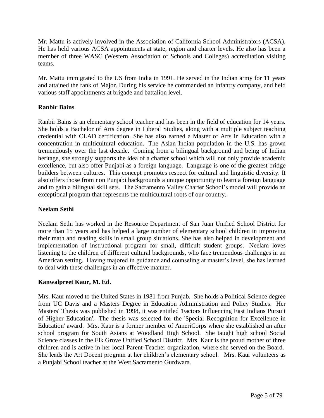Mr. Mattu is actively involved in the Association of California School Administrators (ACSA). He has held various ACSA appointments at state, region and charter levels. He also has been a member of three WASC (Western Association of Schools and Colleges) accreditation visiting teams.

Mr. Mattu immigrated to the US from India in 1991. He served in the Indian army for 11 years and attained the rank of Major. During his service he commanded an infantry company, and held various staff appointments at brigade and battalion level.

# **Ranbir Bains**

Ranbir Bains is an elementary school teacher and has been in the field of education for 14 years. She holds a Bachelor of Arts degree in Liberal Studies, along with a multiple subject teaching credential with CLAD certification. She has also earned a Master of Arts in Education with a concentration in multicultural education. The Asian Indian population in the U.S. has grown tremendously over the last decade. Coming from a bilingual background and being of Indian heritage, she strongly supports the idea of a charter school which will not only provide academic excellence, but also offer Punjabi as a foreign language. Language is one of the greatest bridge builders between cultures. This concept promotes respect for cultural and linguistic diversity. It also offers those from non Punjabi backgrounds a unique opportunity to learn a foreign language and to gain a bilingual skill sets. The Sacramento Valley Charter School's model will provide an exceptional program that represents the multicultural roots of our country.

## **Neelam Sethi**

Neelam Sethi has worked in the Resource Department of San Juan Unified School District for more than 15 years and has helped a large number of elementary school children in improving their math and reading skills in small group situations. She has also helped in development and implementation of instructional program for small, difficult student groups. Neelam loves listening to the children of different cultural backgrounds, who face tremendous challenges in an American setting. Having majored in guidance and counseling at master's level, she has learned to deal with these challenges in an effective manner.

# **Kanwalpreet Kaur, M. Ed.**

Mrs. Kaur moved to the United States in 1981 from Punjab. She holds a Political Science degree from UC Davis and a Masters Degree in Education Administration and Policy Studies. Her Masters' Thesis was published in 1998, it was entitled 'Factors Influencing East Indians Pursuit of Higher Education'. The thesis was selected for the 'Special Recognition for Excellence in Education' award. Mrs. Kaur is a former member of AmeriCorps where she established an after school program for South Asians at Woodland High School. She taught high school Social Science classes in the Elk Grove Unified School District. Mrs. Kaur is the proud mother of three children and is active in her local Parent-Teacher organization, where she served on the Board. She leads the Art Docent program at her children's elementary school. Mrs. Kaur volunteers as a Punjabi School teacher at the West Sacramento Gurdwara.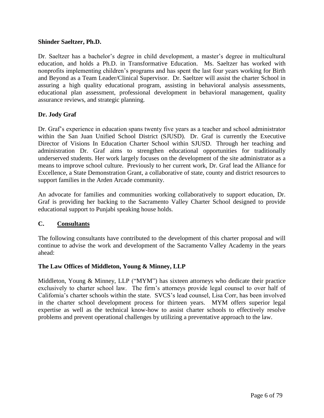#### **Shinder Saeltzer, Ph.D.**

Dr. Saeltzer has a bachelor's degree in child development, a master's degree in multicultural education, and holds a Ph.D. in Transformative Education. Ms. Saeltzer has worked with nonprofits implementing children's programs and has spent the last four years working for Birth and Beyond as a Team Leader/Clinical Supervisor. Dr. Saeltzer will assist the charter School in assuring a high quality educational program, assisting in behavioral analysis assessments, educational plan assessment, professional development in behavioral management, quality assurance reviews, and strategic planning.

## **Dr. Jody Graf**

Dr. Graf's experience in education spans twenty five years as a teacher and school administrator within the San Juan Unified School District (SJUSD). Dr. Graf is currently the Executive Director of Visions In Education Charter School within SJUSD. Through her teaching and administration Dr. Graf aims to strengthen educational opportunities for traditionally underserved students. Her work largely focuses on the development of the site administrator as a means to improve school culture. Previously to her current work, Dr. Graf lead the Alliance for Excellence, a State Demonstration Grant, a collaborative of state, county and district resources to support families in the Arden Arcade community.

An advocate for families and communities working collaboratively to support education, Dr. Graf is providing her backing to the Sacramento Valley Charter School designed to provide educational support to Punjabi speaking house holds.

#### **C. Consultants**

The following consultants have contributed to the development of this charter proposal and will continue to advise the work and development of the Sacramento Valley Academy in the years ahead:

#### **The Law Offices of Middleton, Young & Minney, LLP**

Middleton, Young & Minney, LLP ("MYM") has sixteen attorneys who dedicate their practice exclusively to charter school law. The firm's attorneys provide legal counsel to over half of California's charter schools within the state. SVCS's lead counsel, Lisa Corr, has been involved in the charter school development process for thirteen years. MYM offers superior legal expertise as well as the technical know-how to assist charter schools to effectively resolve problems and prevent operational challenges by utilizing a preventative approach to the law.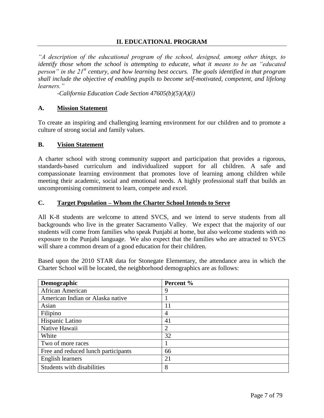#### **II. EDUCATIONAL PROGRAM**

*"A description of the educational program of the school, designed, among other things, to identify those whom the school is attempting to educate, what it means to be an "educated person" in the 21st century, and how learning best occurs. The goals identified in that program shall include the objective of enabling pupils to become self-motivated, competent, and lifelong learners."*

*-California Education Code Section 47605(b)(5)(A)(i)*

#### **A. Mission Statement**

To create an inspiring and challenging learning environment for our children and to promote a culture of strong social and family values.

#### **B. Vision Statement**

A charter school with strong community support and participation that provides a rigorous, standards-based curriculum and individualized support for all children. A safe and compassionate learning environment that promotes love of learning among children while meeting their academic, social and emotional needs. A highly professional staff that builds an uncompromising commitment to learn, compete and excel.

#### **C. Target Population – Whom the Charter School Intends to Serve**

All K-8 students are welcome to attend SVCS, and we intend to serve students from all backgrounds who live in the greater Sacramento Valley. We expect that the majority of our students will come from families who speak Punjabi at home, but also welcome students with no exposure to the Punjabi language. We also expect that the families who are attracted to SVCS will share a common dream of a good education for their children.

Based upon the 2010 STAR data for Stonegate Elementary, the attendance area in which the Charter School will be located, the neighborhood demographics are as follows:

| Demographic                         | Percent %      |
|-------------------------------------|----------------|
| African American                    | 9              |
| American Indian or Alaska native    |                |
| Asian                               | 11             |
| Filipino                            | 4              |
| Hispanic Latino                     | 41             |
| Native Hawaii                       | $\overline{2}$ |
| White                               | 32             |
| Two of more races                   |                |
| Free and reduced lunch participants | 66             |
| <b>English learners</b>             | 21             |
| Students with disabilities          | 8              |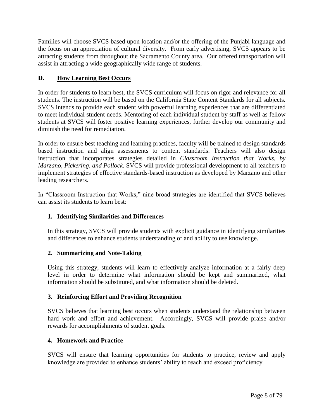Families will choose SVCS based upon location and/or the offering of the Punjabi language and the focus on an appreciation of cultural diversity. From early advertising, SVCS appears to be attracting students from throughout the Sacramento County area. Our offered transportation will assist in attracting a wide geographically wide range of students.

# **D. How Learning Best Occurs**

In order for students to learn best, the SVCS curriculum will focus on rigor and relevance for all students. The instruction will be based on the California State Content Standards for all subjects. SVCS intends to provide each student with powerful learning experiences that are differentiated to meet individual student needs. Mentoring of each individual student by staff as well as fellow students at SVCS will foster positive learning experiences, further develop our community and diminish the need for remediation.

In order to ensure best teaching and learning practices, faculty will be trained to design standards based instruction and align assessments to content standards. Teachers will also design instruction that incorporates strategies detailed in *Classroom Instruction that Works, by Marzano, Pickering, and Pollock.* SVCS will provide professional development to all teachers to implement strategies of effective standards-based instruction as developed by Marzano and other leading researchers.

In "Classroom Instruction that Works," nine broad strategies are identified that SVCS believes can assist its students to learn best:

# **1. Identifying Similarities and Differences**

In this strategy, SVCS will provide students with explicit guidance in identifying similarities and differences to enhance students understanding of and ability to use knowledge.

# **2. Summarizing and Note-Taking**

Using this strategy, students will learn to effectively analyze information at a fairly deep level in order to determine what information should be kept and summarized, what information should be substituted, and what information should be deleted.

# **3. Reinforcing Effort and Providing Recognition**

SVCS believes that learning best occurs when students understand the relationship between hard work and effort and achievement. Accordingly, SVCS will provide praise and/or rewards for accomplishments of student goals.

#### **4. Homework and Practice**

SVCS will ensure that learning opportunities for students to practice, review and apply knowledge are provided to enhance students' ability to reach and exceed proficiency.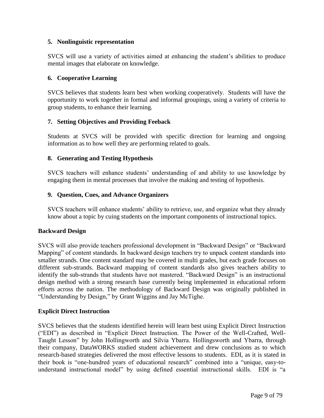## **5. Nonlinguistic representation**

SVCS will use a variety of activities aimed at enhancing the student's abilities to produce mental images that elaborate on knowledge.

## **6. Cooperative Learning**

SVCS believes that students learn best when working cooperatively. Students will have the opportunity to work together in formal and informal groupings, using a variety of criteria to group students, to enhance their learning.

## **7. Setting Objectives and Providing Feeback**

Students at SVCS will be provided with specific direction for learning and ongoing information as to how well they are performing related to goals.

## **8. Generating and Testing Hypothesis**

SVCS teachers will enhance students' understanding of and ability to use knowledge by engaging them in mental processes that involve the making and testing of hypothesis.

## **9. Question, Cues, and Advance Organizers**

SVCS teachers will enhance students' ability to retrieve, use, and organize what they already know about a topic by cuing students on the important components of instructional topics.

#### **Backward Design**

SVCS will also provide teachers professional development in "Backward Design" or "Backward Mapping" of content standards. In backward design teachers try to unpack content standards into smaller strands. One content standard may be covered in multi grades, but each grade focuses on different sub-strands. Backward mapping of content standards also gives teachers ability to identify the sub-strands that students have not mastered. "Backward Design" is an instructional design method with a strong research base currently being implemented in educational reform efforts across the nation. The methodology of Backward Design was originally published in "Understanding by Design," by Grant Wiggins and Jay McTighe.

#### **Explicit Direct Instruction**

SVCS believes that the students identified herein will learn best using Explicit Direct Instruction (―EDI‖) as described in ―Explicit Direct Instruction. The Power of the Well-Crafted, Well-Taught Lesson" by John Hollingworth and Silvia Ybarra. Hollingsworth and Ybarra, through their company, DataWORKS studied student achievement and drew conclusions as to which research-based strategies delivered the most effective lessons to students. EDI, as it is stated in their book is "one-hundred years of educational research" combined into a "unique, easy-tounderstand instructional model" by using defined essential instructional skills. EDI is "a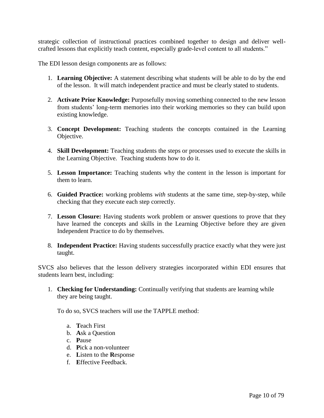strategic collection of instructional practices combined together to design and deliver wellcrafted lessons that explicitly teach content, especially grade-level content to all students."

The EDI lesson design components are as follows:

- 1. **Learning Objective:** A statement describing what students will be able to do by the end of the lesson. It will match independent practice and must be clearly stated to students.
- 2. **Activate Prior Knowledge:** Purposefully moving something connected to the new lesson from students' long-term memories into their working memories so they can build upon existing knowledge.
- 3. **Concept Development:** Teaching students the concepts contained in the Learning Objective.
- 4. **Skill Development:** Teaching students the steps or processes used to execute the skills in the Learning Objective. Teaching students how to do it.
- 5. **Lesson Importance:** Teaching students why the content in the lesson is important for them to learn.
- 6. **Guided Practice:** working problems *with* students at the same time, step-by-step, while checking that they execute each step correctly.
- 7. **Lesson Closure:** Having students work problem or answer questions to prove that they have learned the concepts and skills in the Learning Objective before they are given Independent Practice to do by themselves.
- 8. **Independent Practice:** Having students successfully practice exactly what they were just taught.

SVCS also believes that the lesson delivery strategies incorporated within EDI ensures that students learn best, including:

1. **Checking for Understanding:** Continually verifying that students are learning while they are being taught.

To do so, SVCS teachers will use the TAPPLE method:

- a. **T**each First
- b. **A**sk a Question
- c. **P**ause
- d. **P**ick a non-volunteer
- e. **L**isten to the **R**esponse
- f. **E**ffective Feedback.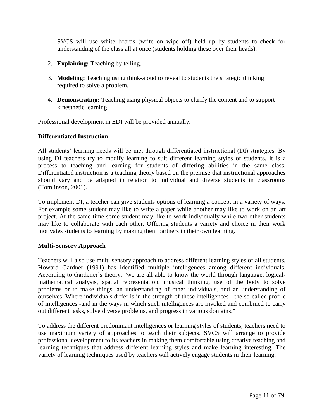SVCS will use white boards (write on wipe off) held up by students to check for understanding of the class all at once (students holding these over their heads).

- 2. **Explaining:** Teaching by telling.
- 3. **Modeling:** Teaching using think-aloud to reveal to students the strategic thinking required to solve a problem.
- 4. **Demonstrating:** Teaching using physical objects to clarify the content and to support kinesthetic learning

Professional development in EDI will be provided annually.

#### **Differentiated Instruction**

All students' learning needs will be met through differentiated instructional (DI) strategies. By using DI teachers try to modify learning to suit different learning styles of students. It is a process to teaching and learning for students of differing abilities in the same class. Differentiated instruction is a teaching theory based on the premise that instructional approaches should vary and be adapted in relation to individual and diverse students in classrooms (Tomlinson, 2001).

To implement DI, a teacher can give students options of learning a concept in a variety of ways. For example some student may like to write a paper while another may like to work on an art project. At the same time some student may like to work individually while two other students may like to collaborate with each other. Offering students a variety and choice in their work motivates students to learning by making them partners in their own learning.

#### **Multi-Sensory Approach**

Teachers will also use multi sensory approach to address different learning styles of all students. Howard Gardner (1991) has identified multiple intelligences among different individuals. According to Gardener's theory, "we are all able to know the world through language, logicalmathematical analysis, spatial representation, musical thinking, use of the body to solve problems or to make things, an understanding of other individuals, and an understanding of ourselves. Where individuals differ is in the strength of these intelligences - the so-called profile of intelligences -and in the ways in which such intelligences are invoked and combined to carry out different tasks, solve diverse problems, and progress in various domains."

To address the different predominant intelligences or learning styles of students, teachers need to use maximum variety of approaches to teach their subjects. SVCS will arrange to provide professional development to its teachers in making them comfortable using creative teaching and learning techniques that address different learning styles and make learning interesting. The variety of learning techniques used by teachers will actively engage students in their learning.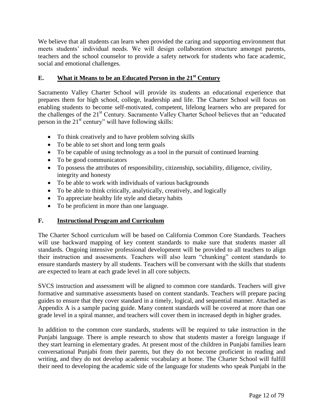We believe that all students can learn when provided the caring and supporting environment that meets students' individual needs. We will design collaboration structure amongst parents, teachers and the school counselor to provide a safety network for students who face academic, social and emotional challenges.

# **E. What it Means to be an Educated Person in the 21st Century**

Sacramento Valley Charter School will provide its students an educational experience that prepares them for high school, college, leadership and life. The Charter School will focus on enabling students to become self-motivated, competent, lifelong learners who are prepared for the challenges of the 21<sup>st</sup> Century. Sacramento Valley Charter School believes that an "educated" person in the  $21^{st}$  century" will have following skills:

- To think creatively and to have problem solving skills
- To be able to set short and long term goals
- To be capable of using technology as a tool in the pursuit of continued learning
- To be good communicators
- To possess the attributes of responsibility, citizenship, sociability, diligence, civility, integrity and honesty
- To be able to work with individuals of various backgrounds
- To be able to think critically, analytically, creatively, and logically
- To appreciate healthy life style and dietary habits
- To be proficient in more than one language.

# **F. Instructional Program and Curriculum**

The Charter School curriculum will be based on California Common Core Standards. Teachers will use backward mapping of key content standards to make sure that students master all standards. Ongoing intensive professional development will be provided to all teachers to align their instruction and assessments. Teachers will also learn "chunking" content standards to ensure standards mastery by all students. Teachers will be conversant with the skills that students are expected to learn at each grade level in all core subjects.

SVCS instruction and assessment will be aligned to common core standards. Teachers will give formative and summative assessments based on content standards. Teachers will prepare pacing guides to ensure that they cover standard in a timely, logical, and sequential manner. Attached as Appendix A is a sample pacing guide. Many content standards will be covered at more than one grade level in a spiral manner, and teachers will cover them in increased depth in higher grades.

In addition to the common core standards, students will be required to take instruction in the Punjabi language. There is ample research to show that students master a foreign language if they start learning in elementary grades. At present most of the children in Punjabi families learn conversational Punjabi from their parents, but they do not become proficient in reading and writing, and they do not develop academic vocabulary at home. The Charter School will fulfill their need to developing the academic side of the language for students who speak Punjabi in the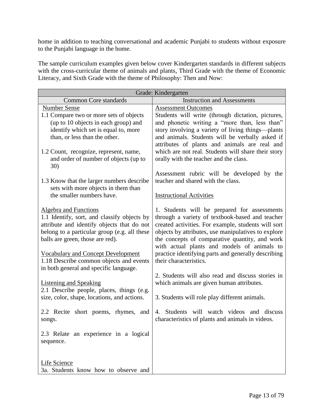home in addition to teaching conversational and academic Punjabi to students without exposure to the Punjabi language in the home.

The sample curriculum examples given below cover Kindergarten standards in different subjects with the cross-curricular theme of animals and plants, Third Grade with the theme of Economic Literacy, and Sixth Grade with the theme of Philosophy: Then and Now:

| Grade: Kindergarten                                                         |                                                                                                 |  |  |
|-----------------------------------------------------------------------------|-------------------------------------------------------------------------------------------------|--|--|
| <b>Common Core standards</b>                                                | <b>Instruction and Assessments</b>                                                              |  |  |
| <b>Number Sense</b>                                                         | <b>Assessment Outcomes</b>                                                                      |  |  |
| 1.1 Compare two or more sets of objects                                     | Students will write (through dictation, pictures,                                               |  |  |
| (up to 10 objects in each group) and                                        | and phonetic writing a "more than, less than"                                                   |  |  |
| identify which set is equal to, more                                        | story involving a variety of living things—plants                                               |  |  |
| than, or less than the other.                                               | and animals. Students will be verbally asked if                                                 |  |  |
|                                                                             | attributes of plants and animals are real and                                                   |  |  |
| 1.2 Count, recognize, represent, name,                                      | which are not real. Students will share their story                                             |  |  |
| and order of number of objects (up to                                       | orally with the teacher and the class.                                                          |  |  |
| 30)                                                                         |                                                                                                 |  |  |
|                                                                             | Assessment rubric will be developed by the                                                      |  |  |
| 1.3 Know that the larger numbers describe                                   | teacher and shared with the class.                                                              |  |  |
| sets with more objects in them than                                         |                                                                                                 |  |  |
| the smaller numbers have.                                                   | <b>Instructional Activities</b>                                                                 |  |  |
|                                                                             |                                                                                                 |  |  |
| <b>Algebra and Functions</b><br>1.1 Identify, sort, and classify objects by | 1. Students will be prepared for assessments<br>through a variety of textbook-based and teacher |  |  |
| attribute and identify objects that do not                                  | created activities. For example, students will sort                                             |  |  |
| belong to a particular group (e.g. all these                                | objects by attributes, use manipulatives to explore                                             |  |  |
| balls are green, those are red).                                            | the concepts of comparative quantity, and work                                                  |  |  |
|                                                                             | with actual plants and models of animals to                                                     |  |  |
| <b>Vocabulary and Concept Development</b>                                   | practice identifying parts and generally describing                                             |  |  |
| 1.18 Describe common objects and events                                     | their characteristics.                                                                          |  |  |
| in both general and specific language.                                      |                                                                                                 |  |  |
|                                                                             | 2. Students will also read and discuss stories in                                               |  |  |
| <b>Listening and Speaking</b>                                               | which animals are given human attributes.                                                       |  |  |
| 2.1 Describe people, places, things (e.g.                                   |                                                                                                 |  |  |
| size, color, shape, locations, and actions.                                 | 3. Students will role play different animals.                                                   |  |  |
|                                                                             |                                                                                                 |  |  |
| 2.2 Recite short poems, rhymes, and                                         | 4. Students will watch videos and discuss                                                       |  |  |
| songs.                                                                      | characteristics of plants and animals in videos.                                                |  |  |
|                                                                             |                                                                                                 |  |  |
| 2.3 Relate an experience in a logical                                       |                                                                                                 |  |  |
| sequence.                                                                   |                                                                                                 |  |  |
|                                                                             |                                                                                                 |  |  |
|                                                                             |                                                                                                 |  |  |
| <b>Life Science</b><br>3a. Students know how to observe and                 |                                                                                                 |  |  |
|                                                                             |                                                                                                 |  |  |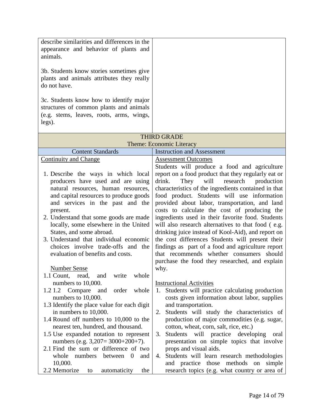| describe similarities and differences in the<br>appearance and behavior of plants and<br>animals.<br>3b. Students know stories sometimes give<br>plants and animals attributes they really<br>do not have.<br>3c. Students know how to identify major<br>structures of common plants and animals<br>(e.g. stems, leaves, roots, arms, wings,<br>legs).                                                                                                                                                               |                                                                                                                                                                                                                                                                                                                                                                                                                                                                                                                                                                                                                                                                                                                                                  |
|----------------------------------------------------------------------------------------------------------------------------------------------------------------------------------------------------------------------------------------------------------------------------------------------------------------------------------------------------------------------------------------------------------------------------------------------------------------------------------------------------------------------|--------------------------------------------------------------------------------------------------------------------------------------------------------------------------------------------------------------------------------------------------------------------------------------------------------------------------------------------------------------------------------------------------------------------------------------------------------------------------------------------------------------------------------------------------------------------------------------------------------------------------------------------------------------------------------------------------------------------------------------------------|
|                                                                                                                                                                                                                                                                                                                                                                                                                                                                                                                      | <b>THIRD GRADE</b>                                                                                                                                                                                                                                                                                                                                                                                                                                                                                                                                                                                                                                                                                                                               |
|                                                                                                                                                                                                                                                                                                                                                                                                                                                                                                                      | Theme: Economic Literacy                                                                                                                                                                                                                                                                                                                                                                                                                                                                                                                                                                                                                                                                                                                         |
| <b>Content Standards</b>                                                                                                                                                                                                                                                                                                                                                                                                                                                                                             | <b>Instruction and Assessment</b>                                                                                                                                                                                                                                                                                                                                                                                                                                                                                                                                                                                                                                                                                                                |
| <b>Continuity and Change</b>                                                                                                                                                                                                                                                                                                                                                                                                                                                                                         | <b>Assessment Outcomes</b>                                                                                                                                                                                                                                                                                                                                                                                                                                                                                                                                                                                                                                                                                                                       |
| 1. Describe the ways in which local<br>producers have used and are using<br>natural resources, human resources,<br>and capital resources to produce goods<br>and services in the past and the<br>present.<br>2. Understand that some goods are made<br>locally, some elsewhere in the United<br>States, and some abroad.<br>3. Understand that individual economic<br>choices involve trade-offs and the<br>evaluation of benefits and costs.<br><b>Number Sense</b><br>whole<br>read,<br>and<br>1.1 Count,<br>write | Students will produce a food and agriculture<br>report on a food product that they regularly eat or<br>will<br>research<br>drink.<br>They<br>production<br>characteristics of the ingredients contained in that<br>food product. Students will use information<br>provided about labor, transportation, and land<br>costs to calculate the cost of producing the<br>ingredients used in their favorite food. Students<br>will also research alternatives to that food (e.g.<br>drinking juice instead of Kool-Aid), and report on<br>the cost differences Students will present their<br>findings as part of a food and agriculture report<br>that recommends whether consumers should<br>purchase the food they researched, and explain<br>why. |
| numbers to 10,000.<br>order<br>whole<br>1.2 1.2<br>Compare<br>and<br>numbers to 10,000.<br>1.3 Identify the place value for each digit<br>in numbers to 10,000.<br>1.4 Round off numbers to 10,000 to the<br>nearest ten, hundred, and thousand.<br>1.5 Use expanded notation to represent<br>numbers (e.g. $3,207 = 3000+200+7$ ).<br>2.1 Find the sum or difference of two<br>$\overline{0}$<br>numbers<br>whole<br>between<br>and<br>10,000.<br>2.2 Memorize<br>automaticity<br>the<br>to                         | <b>Instructional Activities</b><br>Students will practice calculating production<br>1.<br>costs given information about labor, supplies<br>and transportation.<br>Students will study the characteristics of<br>2.<br>production of major commodities (e.g. sugar,<br>cotton, wheat, corn, salt, rice, etc.)<br>Students will practice developing<br>3.<br>oral<br>presentation on simple topics that involve<br>props and visual aids.<br>Students will learn research methodologies<br>4.<br>and practice those<br>methods<br>simple<br>on<br>research topics (e.g. what country or area of                                                                                                                                                    |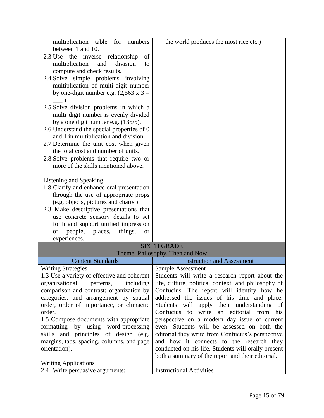| multiplication table for numbers              | the world produces the most rice etc.)               |
|-----------------------------------------------|------------------------------------------------------|
| between 1 and 10.                             |                                                      |
| 2.3 Use the inverse relationship<br>of        |                                                      |
| division<br>multiplication<br>and<br>to       |                                                      |
| compute and check results.                    |                                                      |
| 2.4 Solve simple problems involving           |                                                      |
| multiplication of multi-digit number          |                                                      |
| by one-digit number e.g. $(2,563 \times 3 =$  |                                                      |
|                                               |                                                      |
| 2.5 Solve division problems in which a        |                                                      |
| multi digit number is evenly divided          |                                                      |
| by a one digit number e.g. $(135/5)$ .        |                                                      |
| 2.6 Understand the special properties of 0    |                                                      |
| and 1 in multiplication and division.         |                                                      |
| 2.7 Determine the unit cost when given        |                                                      |
| the total cost and number of units.           |                                                      |
| 2.8 Solve problems that require two or        |                                                      |
| more of the skills mentioned above.           |                                                      |
|                                               |                                                      |
| Listening and Speaking                        |                                                      |
| 1.8 Clarify and enhance oral presentation     |                                                      |
| through the use of appropriate props          |                                                      |
| (e.g. objects, pictures and charts.)          |                                                      |
| 2.3 Make descriptive presentations that       |                                                      |
| use concrete sensory details to set           |                                                      |
| forth and support unified impression          |                                                      |
| of<br>people, places,<br>things,<br><b>or</b> |                                                      |
| experiences.                                  |                                                      |
|                                               | <b>SIXTH GRADE</b>                                   |
|                                               | Theme: Philosophy, Then and Now                      |
| <b>Content Standards</b>                      | <b>Instruction and Assessment</b>                    |
| <b>Writing Strategies</b>                     | <b>Sample Assessment</b>                             |
| 1.3 Use a variety of effective and coherent   | Students will write a research report about the      |
| organizational<br>including<br>patterns,      | life, culture, political context, and philosophy of  |
| comparison and contrast; organization by      | Confucius. The report will identify how he           |
| categories; and arrangement by spatial        | addressed the issues of his time and place.          |
| order, order of importance, or climactic      | Students will apply their understanding of           |
| order.                                        | Confucius<br>write<br>an editorial<br>from his<br>to |
| 1.5 Compose documents with appropriate        | perspective on a modern day issue of current         |
| formatting by using word-processing           | even. Students will be assessed on both the          |
| skills and principles of design (e.g.         | editorial they write from Confucius's perspective    |
| margins, tabs, spacing, columns, and page     | and how it connects to the research they             |
| orientation).                                 | conducted on his life. Students will orally present  |
|                                               | both a summary of the report and their editorial.    |
| <b>Writing Applications</b>                   |                                                      |
| 2.4 Write persuasive arguments:               | <b>Instructional Activities</b>                      |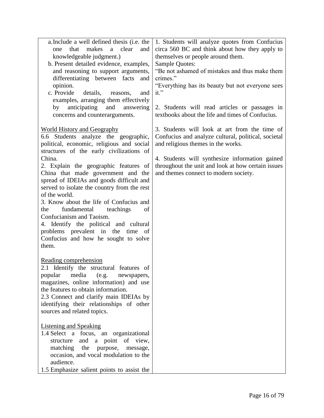| a. Include a well defined thesis (i.e. the  | 1. Students will analyze quotes from Confucius      |
|---------------------------------------------|-----------------------------------------------------|
| makes<br>a<br>clear<br>that<br>and<br>one   | circa 560 BC and think about how they apply to      |
| knowledgeable judgment.)                    | themselves or people around them.                   |
| b. Present detailed evidence, examples,     | <b>Sample Quotes:</b>                               |
| and reasoning to support arguments,         | "Be not ashamed of mistakes and thus make them      |
| differentiating between facts<br>and        | crimes."                                            |
| opinion.                                    | "Everything has its beauty but not everyone sees    |
| c. Provide<br>details,<br>reasons,<br>and   | $it.$ "                                             |
| examples, arranging them effectively        |                                                     |
| anticipating<br>by<br>and<br>answering      | 2. Students will read articles or passages in       |
| concerns and counterarguments.              | textbooks about the life and times of Confucius.    |
|                                             |                                                     |
| <b>World History and Geography</b>          | 3. Students will look at art from the time of       |
| 6.6 Students analyze the geographic,        | Confucius and analyze cultural, political, societal |
| political, economic, religious and social   | and religious themes in the works.                  |
| structures of the early civilizations of    |                                                     |
| China.                                      | 4. Students will synthesize information gained      |
| 2. Explain the geographic features of       | throughout the unit and look at how certain issues  |
| China that made government and the          | and themes connect to modern society.               |
| spread of IDEIAs and goods difficult and    |                                                     |
| served to isolate the country from the rest |                                                     |
| of the world.                               |                                                     |
| 3. Know about the life of Confucius and     |                                                     |
| fundamental<br>teachings<br>the<br>of       |                                                     |
| Confucianism and Taoism.                    |                                                     |
| 4. Identify the political and cultural      |                                                     |
| problems prevalent in the time<br>- of      |                                                     |
| Confucius and how he sought to solve        |                                                     |
| them.                                       |                                                     |
|                                             |                                                     |
| Reading comprehension                       |                                                     |
| 2.1 Identify the structural features of     |                                                     |
| popular media (e.g. newspapers,             |                                                     |
| magazines, online information) and use      |                                                     |
| the features to obtain information.         |                                                     |
| 2.3 Connect and clarify main IDEIAs by      |                                                     |
| identifying their relationships of other    |                                                     |
| sources and related topics.                 |                                                     |
|                                             |                                                     |
| <b>Listening and Speaking</b>               |                                                     |
| 1.4 Select a focus, an organizational       |                                                     |
| and a point of view,<br>structure           |                                                     |
| matching the<br>purpose,<br>message,        |                                                     |
| occasion, and vocal modulation to the       |                                                     |
| audience.                                   |                                                     |
| 1.5 Emphasize salient points to assist the  |                                                     |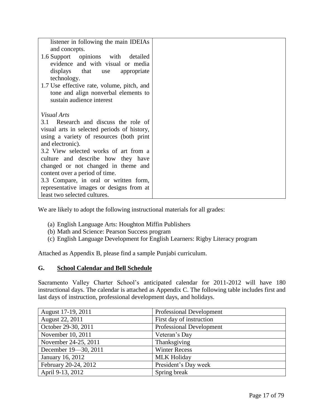| listener in following the main IDEIAs<br>and concepts.<br>1.6 Support opinions with detailed<br>evidence and with visual or media<br>displays that use appropriate<br>technology.<br>1.7 Use effective rate, volume, pitch, and<br>tone and align nonverbal elements to<br>sustain audience interest |  |
|------------------------------------------------------------------------------------------------------------------------------------------------------------------------------------------------------------------------------------------------------------------------------------------------------|--|
| Visual Arts<br>3.1 Research and discuss the role of<br>visual arts in selected periods of history,<br>using a variety of resources (both print<br>and electronic).<br>3.2 View selected works of art from a<br>culture and describe how they have<br>changed or not changed in theme and             |  |
| content over a period of time.<br>3.3 Compare, in oral or written form,<br>representative images or designs from at<br>least two selected cultures.                                                                                                                                                  |  |

We are likely to adopt the following instructional materials for all grades:

- (a) English Language Arts: Houghton Miffin Publishers
- (b) Math and Science: Pearson Success program
- (c) English Language Development for English Learners: Rigby Literacy program

Attached as Appendix B, please find a sample Punjabi curriculum.

# **G. School Calendar and Bell Schedule**

Sacramento Valley Charter School's anticipated calendar for 2011-2012 will have 180 instructional days. The calendar is attached as Appendix C. The following table includes first and last days of instruction, professional development days, and holidays.

| August 17-19, 2011   | <b>Professional Development</b> |
|----------------------|---------------------------------|
| August 22, 2011      | First day of instruction        |
| October 29-30, 2011  | <b>Professional Development</b> |
| November 10, 2011    | Veteran's Day                   |
| November 24-25, 2011 | Thanksgiving                    |
| December 19-30, 2011 | <b>Winter Recess</b>            |
| January 16, 2012     | <b>MLK Holiday</b>              |
| February 20-24, 2012 | President's Day week            |
| April 9-13, 2012     | Spring break                    |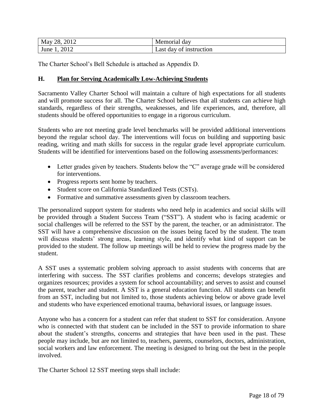| 2012<br>28.<br>May | Memorial dav            |
|--------------------|-------------------------|
| 2012<br>June       | Last day of instruction |

The Charter School's Bell Schedule is attached as Appendix D.

#### **H. Plan for Serving Academically Low-Achieving Students**

Sacramento Valley Charter School will maintain a culture of high expectations for all students and will promote success for all. The Charter School believes that all students can achieve high standards, regardless of their strengths, weaknesses, and life experiences, and, therefore, all students should be offered opportunities to engage in a rigorous curriculum.

Students who are not meeting grade level benchmarks will be provided additional interventions beyond the regular school day. The interventions will focus on building and supporting basic reading, writing and math skills for success in the regular grade level appropriate curriculum. Students will be identified for interventions based on the following assessments/performances:

- Letter grades given by teachers. Students below the "C" average grade will be considered for interventions.
- Progress reports sent home by teachers.
- Student score on California Standardized Tests (CSTs).
- Formative and summative assessments given by classroom teachers.

The personalized support system for students who need help in academics and social skills will be provided through a Student Success Team ("SST"). A student who is facing academic or social challenges will be referred to the SST by the parent, the teacher, or an administrator. The SST will have a comprehensive discussion on the issues being faced by the student. The team will discuss students' strong areas, learning style, and identify what kind of support can be provided to the student. The follow up meetings will be held to review the progress made by the student.

A SST uses a systematic problem solving approach to assist students with concerns that are interfering with success. The SST clarifies problems and concerns; develops strategies and organizes resources; provides a system for school accountability; and serves to assist and counsel the parent, teacher and student. A SST is a general education function. All students can benefit from an SST, including but not limited to, those students achieving below or above grade level and students who have experienced emotional trauma, behavioral issues, or language issues.

Anyone who has a concern for a student can refer that student to SST for consideration. Anyone who is connected with that student can be included in the SST to provide information to share about the student's strengths, concerns and strategies that have been used in the past. These people may include, but are not limited to, teachers, parents, counselors, doctors, administration, social workers and law enforcement. The meeting is designed to bring out the best in the people involved.

The Charter School 12 SST meeting steps shall include: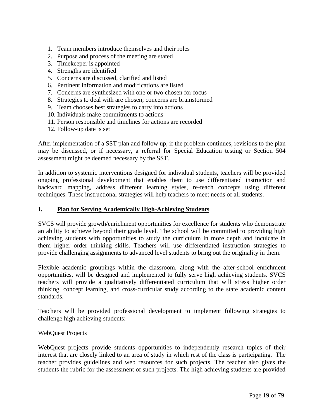- 1. Team members introduce themselves and their roles
- 2. Purpose and process of the meeting are stated
- 3. Timekeeper is appointed
- 4. Strengths are identified
- 5. Concerns are discussed, clarified and listed
- 6. Pertinent information and modifications are listed
- 7. Concerns are synthesized with one or two chosen for focus
- 8. Strategies to deal with are chosen; concerns are brainstormed
- 9. Team chooses best strategies to carry into actions
- 10. Individuals make commitments to actions
- 11. Person responsible and timelines for actions are recorded
- 12. Follow-up date is set

After implementation of a SST plan and follow up, if the problem continues, revisions to the plan may be discussed, or if necessary, a referral for Special Education testing or Section 504 assessment might be deemed necessary by the SST.

In addition to systemic interventions designed for individual students, teachers will be provided ongoing professional development that enables them to use differentiated instruction and backward mapping, address different learning styles, re-teach concepts using different techniques. These instructional strategies will help teachers to meet needs of all students.

#### **I. Plan for Serving Academically High-Achieving Students**

SVCS will provide growth/enrichment opportunities for excellence for students who demonstrate an ability to achieve beyond their grade level. The school will be committed to providing high achieving students with opportunities to study the curriculum in more depth and inculcate in them higher order thinking skills. Teachers will use differentiated instruction strategies to provide challenging assignments to advanced level students to bring out the originality in them.

Flexible academic groupings within the classroom, along with the after-school enrichment opportunities, will be designed and implemented to fully serve high achieving students. SVCS teachers will provide a qualitatively differentiated curriculum that will stress higher order thinking, concept learning, and cross-curricular study according to the state academic content standards.

Teachers will be provided professional development to implement following strategies to challenge high achieving students:

#### WebQuest Projects

WebQuest projects provide students opportunities to independently research topics of their interest that are closely linked to an area of study in which rest of the class is participating. The teacher provides guidelines and web resources for such projects. The teacher also gives the students the rubric for the assessment of such projects. The high achieving students are provided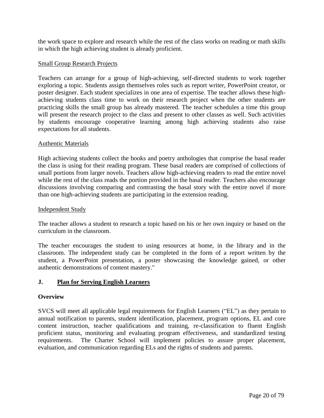the work space to explore and research while the rest of the class works on reading or math skills in which the high achieving student is already proficient.

## Small Group Research Projects

Teachers can arrange for a group of high-achieving, self-directed students to work together exploring a topic. Students assign themselves roles such as report writer, PowerPoint creator, or poster designer. Each student specializes in one area of expertise. The teacher allows these highachieving students class time to work on their research project when the other students are practicing skills the small group has already mastered. The teacher schedules a time this group will present the research project to the class and present to other classes as well. Such activities by students encourage cooperative learning among high achieving students also raise expectations for all students.

#### Authentic Materials

High achieving students collect the books and poetry anthologies that comprise the basal reader the class is using for their reading program. These basal readers are comprised of collections of small portions from larger novels. Teachers allow high-achieving readers to read the entire novel while the rest of the class reads the portion provided in the basal reader. Teachers also encourage discussions involving comparing and contrasting the basal story with the entire novel if more than one high-achieving students are participating in the extension reading.

#### Independent Study

The teacher allows a student to research a topic based on his or her own inquiry or based on the curriculum in the [classroom.](http://www.ehow.com/info_7796216_reading-grade-students-high-achievers.html)

The teacher encourages the student to using resources at home, in the library and in the classroom. The independent study can be completed in the form of a report written by the student, a PowerPoint presentation, a poster showcasing the knowledge gained, or other authentic demonstrations of content mastery."

# **J. Plan for Serving English Learners**

#### **Overview**

SVCS will meet all applicable legal requirements for English Learners ("EL") as they pertain to annual notification to parents, student identification, placement, program options, EL and core content instruction, teacher qualifications and training, re-classification to fluent English proficient status, monitoring and evaluating program effectiveness, and standardized testing requirements. The Charter School will implement policies to assure proper placement, evaluation, and communication regarding ELs and the rights of students and parents.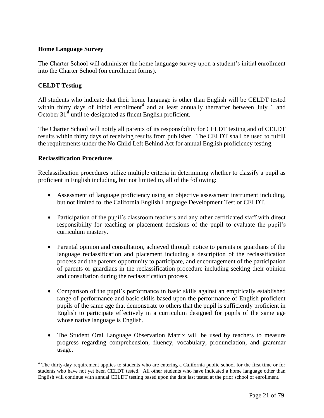## **Home Language Survey**

The Charter School will administer the home language survey upon a student's initial enrollment into the Charter School (on enrollment forms).

## **CELDT Testing**

 $\overline{a}$ 

All students who indicate that their home language is other than English will be CELDT tested within thirty days of initial enrollment<sup>4</sup> and at least annually thereafter between July 1 and October 31<sup>st</sup> until re-designated as fluent English proficient.

The Charter School will notify all parents of its responsibility for CELDT testing and of CELDT results within thirty days of receiving results from publisher. The CELDT shall be used to fulfill the requirements under the No Child Left Behind Act for annual English proficiency testing.

#### **Reclassification Procedures**

Reclassification procedures utilize multiple criteria in determining whether to classify a pupil as proficient in English including, but not limited to, all of the following:

- Assessment of language proficiency using an objective assessment instrument including, but not limited to, the California English Language Development Test or CELDT.
- Participation of the pupil's classroom teachers and any other certificated staff with direct responsibility for teaching or placement decisions of the pupil to evaluate the pupil's curriculum mastery.
- Parental opinion and consultation, achieved through notice to parents or guardians of the language reclassification and placement including a description of the reclassification process and the parents opportunity to participate, and encouragement of the participation of parents or guardians in the reclassification procedure including seeking their opinion and consultation during the reclassification process.
- Comparison of the pupil's performance in basic skills against an empirically established range of performance and basic skills based upon the performance of English proficient pupils of the same age that demonstrate to others that the pupil is sufficiently proficient in English to participate effectively in a curriculum designed for pupils of the same age whose native language is English.
- The Student Oral Language Observation Matrix will be used by teachers to measure progress regarding comprehension, fluency, vocabulary, pronunciation, and grammar usage.

<sup>&</sup>lt;sup>4</sup> The thirty-day requirement applies to students who are entering a California public school for the first time or for students who have not yet been CELDT tested. All other students who have indicated a home language other than English will continue with annual CELDT testing based upon the date last tested at the prior school of enrollment.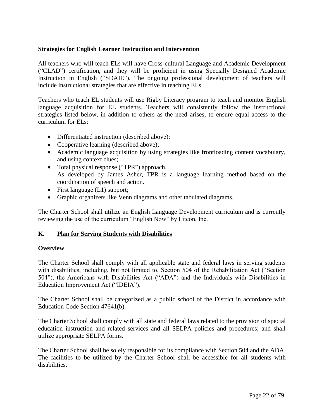## **Strategies for English Learner Instruction and Intervention**

All teachers who will teach ELs will have Cross-cultural Language and Academic Development (―CLAD‖) certification, and they will be proficient in using Specially Designed Academic Instruction in English ("SDAIE"). The ongoing professional development of teachers will include instructional strategies that are effective in teaching ELs.

Teachers who teach EL students will use Rigby Literacy program to teach and monitor English language acquisition for EL students. Teachers will consistently follow the instructional strategies listed below, in addition to others as the need arises, to ensure equal access to the curriculum for ELs:

- Differentiated instruction (described above);
- Cooperative learning (described above);
- Academic language acquisition by using strategies like frontloading content vocabulary, and using context clues;
- Total physical response ("TPR") approach. As developed by James Asher, TPR is a language learning method based on the coordination of speech and action.
- First language (L1) support;
- Graphic organizers like Venn diagrams and other tabulated diagrams.

The Charter School shall utilize an English Language Development curriculum and is currently reviewing the use of the curriculum "English Now" by Litcon, Inc.

# **K. Plan for Serving Students with Disabilities**

# **Overview**

The Charter School shall comply with all applicable state and federal laws in serving students with disabilities, including, but not limited to, Section 504 of the Rehabilitation Act ("Section 504"), the Americans with Disabilities Act ("ADA") and the Individuals with Disabilities in Education Improvement Act ("IDEIA").

The Charter School shall be categorized as a public school of the District in accordance with Education Code Section 47641(b).

The Charter School shall comply with all state and federal laws related to the provision of special education instruction and related services and all SELPA policies and procedures; and shall utilize appropriate SELPA forms.

The Charter School shall be solely responsible for its compliance with Section 504 and the ADA. The facilities to be utilized by the Charter School shall be accessible for all students with disabilities.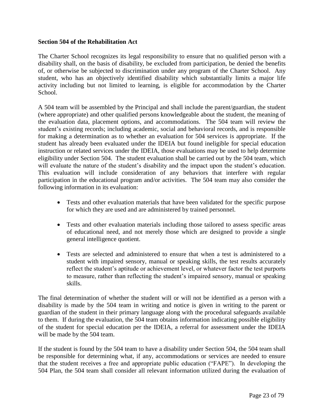#### **Section 504 of the Rehabilitation Act**

The Charter School recognizes its legal responsibility to ensure that no qualified person with a disability shall, on the basis of disability, be excluded from participation, be denied the benefits of, or otherwise be subjected to discrimination under any program of the Charter School. Any student, who has an objectively identified disability which substantially limits a major life activity including but not limited to learning, is eligible for accommodation by the Charter School.

A 504 team will be assembled by the Principal and shall include the parent/guardian, the student (where appropriate) and other qualified persons knowledgeable about the student, the meaning of the evaluation data, placement options, and accommodations. The 504 team will review the student's existing records; including academic, social and behavioral records, and is responsible for making a determination as to whether an evaluation for 504 services is appropriate. If the student has already been evaluated under the IDEIA but found ineligible for special education instruction or related services under the IDEIA, those evaluations may be used to help determine eligibility under Section 504. The student evaluation shall be carried out by the 504 team, which will evaluate the nature of the student's disability and the impact upon the student's education. This evaluation will include consideration of any behaviors that interfere with regular participation in the educational program and/or activities. The 504 team may also consider the following information in its evaluation:

- Tests and other evaluation materials that have been validated for the specific purpose for which they are used and are administered by trained personnel.
- Tests and other evaluation materials including those tailored to assess specific areas of educational need, and not merely those which are designed to provide a single general intelligence quotient.
- Tests are selected and administered to ensure that when a test is administered to a student with impaired sensory, manual or speaking skills, the test results accurately reflect the student's aptitude or achievement level, or whatever factor the test purports to measure, rather than reflecting the student's impaired sensory, manual or speaking skills.

The final determination of whether the student will or will not be identified as a person with a disability is made by the 504 team in writing and notice is given in writing to the parent or guardian of the student in their primary language along with the procedural safeguards available to them. If during the evaluation, the 504 team obtains information indicating possible eligibility of the student for special education per the IDEIA, a referral for assessment under the IDEIA will be made by the 504 team.

If the student is found by the 504 team to have a disability under Section 504, the 504 team shall be responsible for determining what, if any, accommodations or services are needed to ensure that the student receives a free and appropriate public education ("FAPE"). In developing the 504 Plan, the 504 team shall consider all relevant information utilized during the evaluation of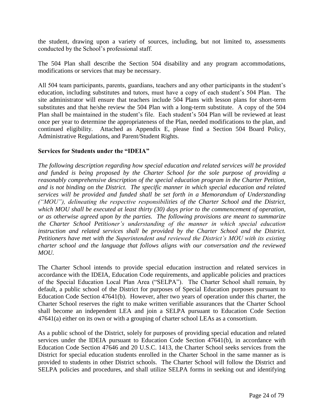the student, drawing upon a variety of sources, including, but not limited to, assessments conducted by the School's professional staff.

The 504 Plan shall describe the Section 504 disability and any program accommodations, modifications or services that may be necessary.

All 504 team participants, parents, guardians, teachers and any other participants in the student's education, including substitutes and tutors, must have a copy of each student's 504 Plan. The site administrator will ensure that teachers include 504 Plans with lesson plans for short-term substitutes and that he/she review the 504 Plan with a long-term substitute. A copy of the 504 Plan shall be maintained in the student's file. Each student's 504 Plan will be reviewed at least once per year to determine the appropriateness of the Plan, needed modifications to the plan, and continued eligibility. Attached as Appendix E, please find a Section 504 Board Policy, Administrative Regulations, and Parent/Student Rights.

## **Services for Students under the "IDEIA"**

*The following description regarding how special education and related services will be provided and funded is being proposed by the Charter School for the sole purpose of providing a reasonably comprehensive description of the special education program in the Charter Petition, and is not binding on the District. The specific manner in which special education and related services will be provided and funded shall be set forth in a Memorandum of Understanding ("MOU"), delineating the respective responsibilities of the Charter School and the District, which MOU shall be executed at least thirty (30) days prior to the commencement of operation, or as otherwise agreed upon by the parties. The following provisions are meant to summarize the Charter School Petitioner's understanding of the manner in which special education instruction and related services shall be provided by the Charter School and the District. Petitioners have met with the Superintendent and reviewed the District's MOU with its existing charter school and the language that follows aligns with our conversation and the reviewed MOU.*

The Charter School intends to provide special education instruction and related services in accordance with the IDEIA, Education Code requirements, and applicable policies and practices of the Special Education Local Plan Area ("SELPA"). The Charter School shall remain, by default, a public school of the District for purposes of Special Education purposes pursuant to Education Code Section 47641(b). However, after two years of operation under this charter, the Charter School reserves the right to make written verifiable assurances that the Charter School shall become an independent LEA and join a SELPA pursuant to Education Code Section 47641(a) either on its own or with a grouping of charter school LEAs as a consortium.

As a public school of the District, solely for purposes of providing special education and related services under the IDEIA pursuant to Education Code Section 47641(b), in accordance with Education Code Section 47646 and 20 U.S.C. 1413, the Charter School seeks services from the District for special education students enrolled in the Charter School in the same manner as is provided to students in other District schools. The Charter School will follow the District and SELPA policies and procedures, and shall utilize SELPA forms in seeking out and identifying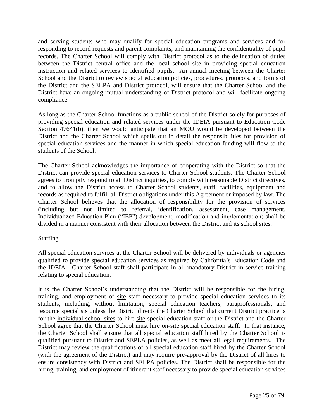and serving students who may qualify for special education programs and services and for responding to record requests and parent complaints, and maintaining the confidentiality of pupil records. The Charter School will comply with District protocol as to the delineation of duties between the District central office and the local school site in providing special education instruction and related services to identified pupils. An annual meeting between the Charter School and the District to review special education policies, procedures, protocols, and forms of the District and the SELPA and District protocol, will ensure that the Charter School and the District have an ongoing mutual understanding of District protocol and will facilitate ongoing compliance.

As long as the Charter School functions as a public school of the District solely for purposes of providing special education and related services under the IDEIA pursuant to Education Code Section 47641(b), then we would anticipate that an MOU would be developed between the District and the Charter School which spells out in detail the responsibilities for provision of special education services and the manner in which special education funding will flow to the students of the School.

The Charter School acknowledges the importance of cooperating with the District so that the District can provide special education services to Charter School students. The Charter School agrees to promptly respond to all District inquiries, to comply with reasonable District directives, and to allow the District access to Charter School students, staff, facilities, equipment and records as required to fulfill all District obligations under this Agreement or imposed by law. The Charter School believes that the allocation of responsibility for the provision of services (including but not limited to referral, identification, assessment, case management, Individualized Education Plan ("IEP") development, modification and implementation) shall be divided in a manner consistent with their allocation between the District and its school sites.

# Staffing

All special education services at the Charter School will be delivered by individuals or agencies qualified to provide special education services as required by California's Education Code and the IDEIA. Charter School staff shall participate in all mandatory District in-service training relating to special education.

It is the Charter School's understanding that the District will be responsible for the hiring, training, and employment of site staff necessary to provide special education services to its students, including, without limitation, special education teachers, paraprofessionals, and resource specialists unless the District directs the Charter School that current District practice is for the individual school sites to hire site special education staff or the District and the Charter School agree that the Charter School must hire on-site special education staff. In that instance, the Charter School shall ensure that all special education staff hired by the Charter School is qualified pursuant to District and SEPLA policies, as well as meet all legal requirements. The District may review the qualifications of all special education staff hired by the Charter School (with the agreement of the District) and may require pre-approval by the District of all hires to ensure consistency with District and SELPA policies. The District shall be responsible for the hiring, training, and employment of itinerant staff necessary to provide special education services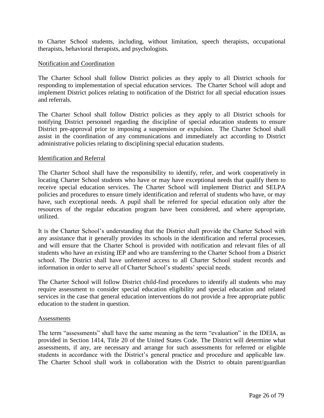to Charter School students, including, without limitation, speech therapists, occupational therapists, behavioral therapists, and psychologists.

#### Notification and Coordination

The Charter School shall follow District policies as they apply to all District schools for responding to implementation of special education services. The Charter School will adopt and implement District polices relating to notification of the District for all special education issues and referrals.

The Charter School shall follow District policies as they apply to all District schools for notifying District personnel regarding the discipline of special education students to ensure District pre-approval prior to imposing a suspension or expulsion. The Charter School shall assist in the coordination of any communications and immediately act according to District administrative policies relating to disciplining special education students.

#### Identification and Referral

The Charter School shall have the responsibility to identify, refer, and work cooperatively in locating Charter School students who have or may have exceptional needs that qualify them to receive special education services. The Charter School will implement District and SELPA policies and procedures to ensure timely identification and referral of students who have, or may have, such exceptional needs. A pupil shall be referred for special education only after the resources of the regular education program have been considered, and where appropriate, utilized.

It is the Charter School's understanding that the District shall provide the Charter School with any assistance that it generally provides its schools in the identification and referral processes, and will ensure that the Charter School is provided with notification and relevant files of all students who have an existing IEP and who are transferring to the Charter School from a District school. The District shall have unfettered access to all Charter School student records and information in order to serve all of Charter School's students' special needs.

The Charter School will follow District child-find procedures to identify all students who may require assessment to consider special education eligibility and special education and related services in the case that general education interventions do not provide a free appropriate public education to the student in question.

#### Assessments

The term "assessments" shall have the same meaning as the term "evaluation" in the IDEIA, as provided in Section 1414, Title 20 of the United States Code. The District will determine what assessments, if any, are necessary and arrange for such assessments for referred or eligible students in accordance with the District's general practice and procedure and applicable law. The Charter School shall work in collaboration with the District to obtain parent/guardian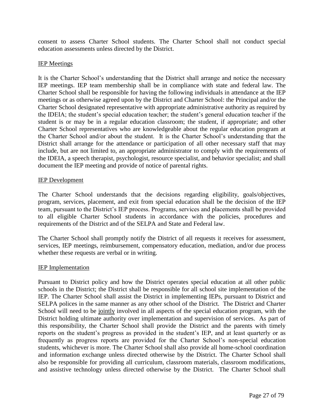consent to assess Charter School students. The Charter School shall not conduct special education assessments unless directed by the District.

#### IEP Meetings

It is the Charter School's understanding that the District shall arrange and notice the necessary IEP meetings. IEP team membership shall be in compliance with state and federal law. The Charter School shall be responsible for having the following individuals in attendance at the IEP meetings or as otherwise agreed upon by the District and Charter School: the Principal and/or the Charter School designated representative with appropriate administrative authority as required by the IDEIA; the student's special education teacher; the student's general education teacher if the student is or may be in a regular education classroom; the student, if appropriate; and other Charter School representatives who are knowledgeable about the regular education program at the Charter School and/or about the student. It is the Charter School's understanding that the District shall arrange for the attendance or participation of all other necessary staff that may include, but are not limited to, an appropriate administrator to comply with the requirements of the IDEIA, a speech therapist, psychologist, resource specialist, and behavior specialist; and shall document the IEP meeting and provide of notice of parental rights.

#### IEP Development

The Charter School understands that the decisions regarding eligibility, goals/objectives, program, services, placement, and exit from special education shall be the decision of the IEP team, pursuant to the District's IEP process. Programs, services and placements shall be provided to all eligible Charter School students in accordance with the policies, procedures and requirements of the District and of the SELPA and State and Federal law.

The Charter School shall promptly notify the District of all requests it receives for assessment, services, IEP meetings, reimbursement, compensatory education, mediation, and/or due process whether these requests are verbal or in writing.

#### IEP Implementation

Pursuant to District policy and how the District operates special education at all other public schools in the District; the District shall be responsible for all school site implementation of the IEP. The Charter School shall assist the District in implementing IEPs, pursuant to District and SELPA polices in the same manner as any other school of the District. The District and Charter School will need to be jointly involved in all aspects of the special education program, with the District holding ultimate authority over implementation and supervision of services. As part of this responsibility, the Charter School shall provide the District and the parents with timely reports on the student's progress as provided in the student's IEP, and at least quarterly or as frequently as progress reports are provided for the Charter School's non-special education students, whichever is more. The Charter School shall also provide all home-school coordination and information exchange unless directed otherwise by the District. The Charter School shall also be responsible for providing all curriculum, classroom materials, classroom modifications, and assistive technology unless directed otherwise by the District. The Charter School shall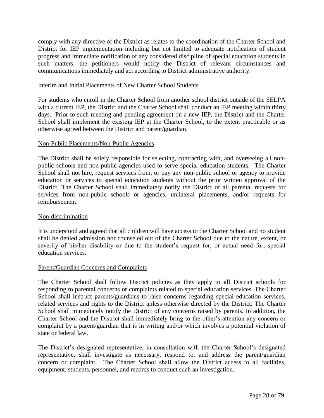comply with any directive of the District as relates to the coordination of the Charter School and District for IEP implementation including but not limited to adequate notification of student progress and immediate notification of any considered discipline of special education students in such matters, the petitioners would notify the District of relevant circumstances and communications immediately and act according to District administrative authority.

#### Interim and Initial Placements of New Charter School Students

For students who enroll in the Charter School from another school district outside of the SELPA with a current IEP, the District and the Charter School shall conduct an IEP meeting within thirty days. Prior to such meeting and pending agreement on a new IEP, the District and the Charter School shall implement the existing IEP at the Charter School, to the extent practicable or as otherwise agreed between the District and parent/guardian.

#### Non-Public Placements/Non-Public Agencies

The District shall be solely responsible for selecting, contracting with, and overseeing all nonpublic schools and non-public agencies used to serve special education students. The Charter School shall not hire, request services from, or pay any non-public school or agency to provide education or services to special education students without the prior written approval of the District. The Charter School shall immediately notify the District of all parental requests for services from non-public schools or agencies, unilateral placements, and/or requests for reimbursement.

#### Non-discrimination

It is understood and agreed that all children will have access to the Charter School and no student shall be denied admission nor counseled out of the Charter School due to the nature, extent, or severity of his/her disability or due to the student's request for, or actual need for, special education services.

#### Parent/Guardian Concerns and Complaints

The Charter School shall follow District policies as they apply to all District schools for responding to parental concerns or complaints related to special education services. The Charter School shall instruct parents/guardians to raise concerns regarding special education services, related services and rights to the District unless otherwise directed by the District. The Charter School shall immediately notify the District of any concerns raised by parents. In addition, the Charter School and the District shall immediately bring to the other's attention any concern or complaint by a parent/guardian that is in writing and/or which involves a potential violation of state or federal law.

The District's designated representative, in consultation with the Charter School's designated representative, shall investigate as necessary, respond to, and address the parent/guardian concern or complaint. The Charter School shall allow the District access to all facilities, equipment, students, personnel, and records to conduct such an investigation.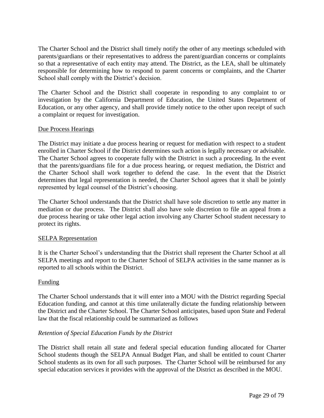The Charter School and the District shall timely notify the other of any meetings scheduled with parents/guardians or their representatives to address the parent/guardian concerns or complaints so that a representative of each entity may attend. The District, as the LEA, shall be ultimately responsible for determining how to respond to parent concerns or complaints, and the Charter School shall comply with the District's decision.

The Charter School and the District shall cooperate in responding to any complaint to or investigation by the California Department of Education, the United States Department of Education, or any other agency, and shall provide timely notice to the other upon receipt of such a complaint or request for investigation.

#### Due Process Hearings

The District may initiate a due process hearing or request for mediation with respect to a student enrolled in Charter School if the District determines such action is legally necessary or advisable. The Charter School agrees to cooperate fully with the District in such a proceeding. In the event that the parents/guardians file for a due process hearing, or request mediation, the District and the Charter School shall work together to defend the case. In the event that the District determines that legal representation is needed, the Charter School agrees that it shall be jointly represented by legal counsel of the District's choosing.

The Charter School understands that the District shall have sole discretion to settle any matter in mediation or due process. The District shall also have sole discretion to file an appeal from a due process hearing or take other legal action involving any Charter School student necessary to protect its rights.

#### SELPA Representation

It is the Charter School's understanding that the District shall represent the Charter School at all SELPA meetings and report to the Charter School of SELPA activities in the same manner as is reported to all schools within the District.

# Funding

The Charter School understands that it will enter into a MOU with the District regarding Special Education funding, and cannot at this time unilaterally dictate the funding relationship between the District and the Charter School. The Charter School anticipates, based upon State and Federal law that the fiscal relationship could be summarized as follows

#### *Retention of Special Education Funds by the District*

The District shall retain all state and federal special education funding allocated for Charter School students though the SELPA Annual Budget Plan, and shall be entitled to count Charter School students as its own for all such purposes. The Charter School will be reimbursed for any special education services it provides with the approval of the District as described in the MOU.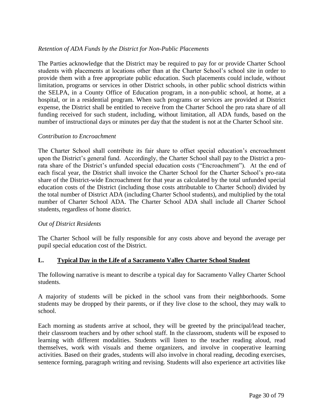## *Retention of ADA Funds by the District for Non-Public Placements*

The Parties acknowledge that the District may be required to pay for or provide Charter School students with placements at locations other than at the Charter School's school site in order to provide them with a free appropriate public education. Such placements could include, without limitation, programs or services in other District schools, in other public school districts within the SELPA, in a County Office of Education program, in a non-public school, at home, at a hospital, or in a residential program. When such programs or services are provided at District expense, the District shall be entitled to receive from the Charter School the pro rata share of all funding received for such student, including, without limitation, all ADA funds, based on the number of instructional days or minutes per day that the student is not at the Charter School site.

#### *Contribution to Encroachment*

The Charter School shall contribute its fair share to offset special education's encroachment upon the District's general fund. Accordingly, the Charter School shall pay to the District a prorata share of the District's unfunded special education costs ("Encroachment"). At the end of each fiscal year, the District shall invoice the Charter School for the Charter School's pro-rata share of the District-wide Encroachment for that year as calculated by the total unfunded special education costs of the District (including those costs attributable to Charter School) divided by the total number of District ADA (including Charter School students), and multiplied by the total number of Charter School ADA. The Charter School ADA shall include all Charter School students, regardless of home district.

# *Out of District Residents*

The Charter School will be fully responsible for any costs above and beyond the average per pupil special education cost of the District.

# **L. Typical Day in the Life of a Sacramento Valley Charter School Student**

The following narrative is meant to describe a typical day for Sacramento Valley Charter School students.

A majority of students will be picked in the school vans from their neighborhoods. Some students may be dropped by their parents, or if they live close to the school, they may walk to school.

Each morning as students arrive at school, they will be greeted by the principal/lead teacher, their classroom teachers and by other school staff. In the classroom, students will be exposed to learning with different modalities. Students will listen to the teacher reading aloud, read themselves, work with visuals and theme organizers, and involve in cooperative learning activities. Based on their grades, students will also involve in choral reading, decoding exercises, sentence forming, paragraph writing and revising. Students will also experience art activities like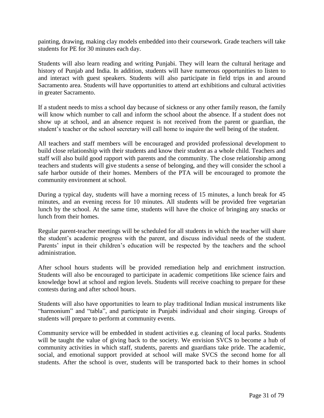painting, drawing, making clay models embedded into their coursework. Grade teachers will take students for PE for 30 minutes each day.

Students will also learn reading and writing Punjabi. They will learn the cultural heritage and history of Punjab and India. In addition, students will have numerous opportunities to listen to and interact with guest speakers. Students will also participate in field trips in and around Sacramento area. Students will have opportunities to attend art exhibitions and cultural activities in greater Sacramento.

If a student needs to miss a school day because of sickness or any other family reason, the family will know which number to call and inform the school about the absence. If a student does not show up at school, and an absence request is not received from the parent or guardian, the student's teacher or the school secretary will call home to inquire the well being of the student.

All teachers and staff members will be encouraged and provided professional development to build close relationship with their students and know their student as a whole child. Teachers and staff will also build good rapport with parents and the community. The close relationship among teachers and students will give students a sense of belonging, and they will consider the school a safe harbor outside of their homes. Members of the PTA will be encouraged to promote the community environment at school.

During a typical day, students will have a morning recess of 15 minutes, a lunch break for 45 minutes, and an evening recess for 10 minutes. All students will be provided free vegetarian lunch by the school. At the same time, students will have the choice of bringing any snacks or lunch from their homes.

Regular parent-teacher meetings will be scheduled for all students in which the teacher will share the student's academic progress with the parent, and discuss individual needs of the student. Parents' input in their children's education will be respected by the teachers and the school administration.

After school hours students will be provided remediation help and enrichment instruction. Students will also be encouraged to participate in academic competitions like science fairs and knowledge bowl at school and region levels. Students will receive coaching to prepare for these contests during and after school hours.

Students will also have opportunities to learn to play traditional Indian musical instruments like "harmonium" and "tabla", and participate in Punjabi individual and choir singing. Groups of students will prepare to perform at community events.

Community service will be embedded in student activities e.g. cleaning of local parks. Students will be taught the value of giving back to the society. We envision SVCS to become a hub of community activities in which staff, students, parents and guardians take pride. The academic, social, and emotional support provided at school will make SVCS the second home for all students. After the school is over, students will be transported back to their homes in school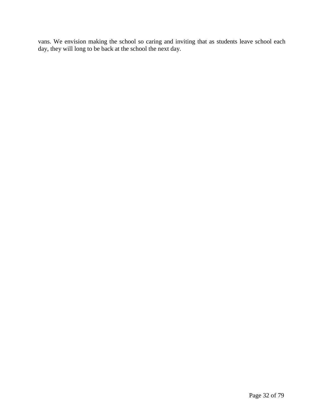vans. We envision making the school so caring and inviting that as students leave school each day, they will long to be back at the school the next day.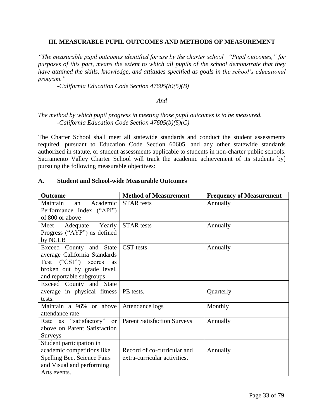## **III. MEASURABLE PUPIL OUTCOMES AND METHODS OF MEASUREMENT**

*"The measurable pupil outcomes identified for use by the charter school. "Pupil outcomes," for purposes of this part, means the extent to which all pupils of the school demonstrate that they have attained the skills, knowledge, and attitudes specified as goals in the school's educational program."* 

*-California Education Code Section 47605(b)(5)(B)*

#### *And*

## *The method by which pupil progress in meeting those pupil outcomes is to be measured. -California Education Code Section 47605(b)(5)(C)*

The Charter School shall meet all statewide standards and conduct the student assessments required, pursuant to Education Code Section 60605, and any other statewide standards authorized in statute, or student assessments applicable to students in non-charter public schools. Sacramento Valley Charter School will track the academic achievement of its students by] pursuing the following measurable objectives:

| <b>Outcome</b>                                          | <b>Method of Measurement</b> |                                 |
|---------------------------------------------------------|------------------------------|---------------------------------|
|                                                         |                              | <b>Frequency of Measurement</b> |
| Academic<br>Maintain<br>an                              | <b>STAR</b> tests            | Annually                        |
| Performance Index ("API")                               |                              |                                 |
| of 800 or above                                         |                              |                                 |
| Meet Adequate Yearly                                    | <b>STAR</b> tests            | Annually                        |
| Progress ("AYP") as defined                             |                              |                                 |
| by NCLB                                                 |                              |                                 |
| Exceed County and State                                 | <b>CST</b> tests             | Annually                        |
| average California Standards                            |                              |                                 |
| Test ("CST") scores<br>as                               |                              |                                 |
| broken out by grade level,                              |                              |                                 |
| and reportable subgroups                                |                              |                                 |
| Exceed County and State                                 |                              |                                 |
| average in physical fitness   PE tests.                 |                              | Quarterly                       |
| tests.                                                  |                              |                                 |
| Maintain a 96% or above                                 | Attendance logs              | Monthly                         |
| attendance rate                                         |                              |                                 |
| Rate as "satisfactory" or   Parent Satisfaction Surveys |                              | Annually                        |
| above on Parent Satisfaction                            |                              |                                 |
| Surveys                                                 |                              |                                 |
| Student participation in                                |                              |                                 |
| academic competitions like                              | Record of co-curricular and  | Annually                        |
| Spelling Bee, Science Fairs                             | extra-curricular activities. |                                 |
|                                                         |                              |                                 |
| Arts events.                                            |                              |                                 |
| and Visual and performing                               |                              |                                 |

#### **A. Student and School-wide Measurable Outcomes**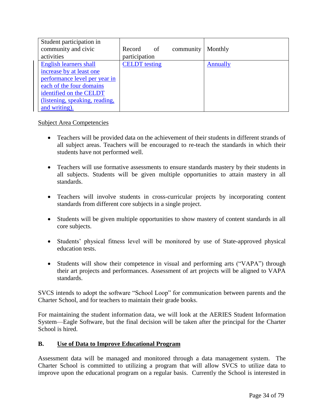| Student participation in       |                      |           |                 |
|--------------------------------|----------------------|-----------|-----------------|
| community and civic            | Record of            | community | Monthly         |
| activities                     | participation        |           |                 |
| <b>English learners shall</b>  | <b>CELDT</b> testing |           | <b>Annually</b> |
| increase by at least one       |                      |           |                 |
| performance level per year in  |                      |           |                 |
| each of the four domains       |                      |           |                 |
| identified on the CELDT        |                      |           |                 |
| (listening, speaking, reading, |                      |           |                 |
| and writing).                  |                      |           |                 |

# Subject Area Competencies

- Teachers will be provided data on the achievement of their students in different strands of all subject areas. Teachers will be encouraged to re-teach the standards in which their students have not performed well.
- Teachers will use formative assessments to ensure standards mastery by their students in all subjects. Students will be given multiple opportunities to attain mastery in all standards.
- Teachers will involve students in cross-curricular projects by incorporating content standards from different core subjects in a single project.
- Students will be given multiple opportunities to show mastery of content standards in all core subjects.
- Students' physical fitness level will be monitored by use of State-approved physical education tests.
- Students will show their competence in visual and performing arts ("VAPA") through their art projects and performances. Assessment of art projects will be aligned to VAPA standards.

SVCS intends to adopt the software "School Loop" for communication between parents and the Charter School, and for teachers to maintain their grade books.

For maintaining the student information data, we will look at the AERIES Student Information System—Eagle Software, but the final decision will be taken after the principal for the Charter School is hired.

# **B. Use of Data to Improve Educational Program**

Assessment data will be managed and monitored through a data management system. The Charter School is committed to utilizing a program that will allow SVCS to utilize data to improve upon the educational program on a regular basis. Currently the School is interested in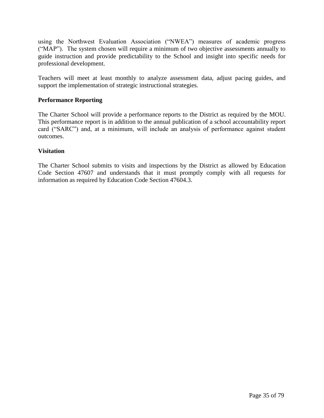using the Northwest Evaluation Association ("NWEA") measures of academic progress ("MAP"). The system chosen will require a minimum of two objective assessments annually to guide instruction and provide predictability to the School and insight into specific needs for professional development.

Teachers will meet at least monthly to analyze assessment data, adjust pacing guides, and support the implementation of strategic instructional strategies.

# **Performance Reporting**

The Charter School will provide a performance reports to the District as required by the MOU. This performance report is in addition to the annual publication of a school accountability report card ("SARC") and, at a minimum, will include an analysis of performance against student outcomes.

## **Visitation**

The Charter School submits to visits and inspections by the District as allowed by Education Code Section 47607 and understands that it must promptly comply with all requests for information as required by Education Code Section 47604.3.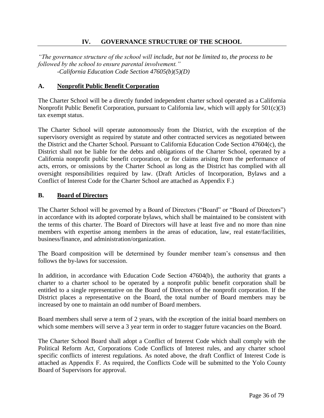# **IV. GOVERNANCE STRUCTURE OF THE SCHOOL**

*"The governance structure of the school will include, but not be limited to, the process to be followed by the school to ensure parental involvement." -California Education Code Section 47605(b)(5)(D)*

## **A. Nonprofit Public Benefit Corporation**

The Charter School will be a directly funded independent charter school operated as a California Nonprofit Public Benefit Corporation, pursuant to California law, which will apply for 501(c)(3) tax exempt status.

The Charter School will operate autonomously from the District, with the exception of the supervisory oversight as required by statute and other contracted services as negotiated between the District and the Charter School. Pursuant to California Education Code Section 47604(c), the District shall not be liable for the debts and obligations of the Charter School, operated by a California nonprofit public benefit corporation, or for claims arising from the performance of acts, errors, or omissions by the Charter School as long as the District has complied with all oversight responsibilities required by law. (Draft Articles of Incorporation, Bylaws and a Conflict of Interest Code for the Charter School are attached as Appendix F.)

#### **B. Board of Directors**

The Charter School will be governed by a Board of Directors ("Board" or "Board of Directors") in accordance with its adopted corporate bylaws, which shall be maintained to be consistent with the terms of this charter. The Board of Directors will have at least five and no more than nine members with expertise among members in the areas of education, law, real estate/facilities, business/finance, and administration/organization.

The Board composition will be determined by founder member team's consensus and then follows the by-laws for succession.

In addition, in accordance with Education Code Section 47604(b), the authority that grants a charter to a charter school to be operated by a nonprofit public benefit corporation shall be entitled to a single representative on the Board of Directors of the nonprofit corporation. If the District places a representative on the Board, the total number of Board members may be increased by one to maintain an odd number of Board members.

Board members shall serve a term of 2 years, with the exception of the initial board members on which some members will serve a 3 year term in order to stagger future vacancies on the Board.

The Charter School Board shall adopt a Conflict of Interest Code which shall comply with the Political Reform Act, Corporations Code Conflicts of Interest rules, and any charter school specific conflicts of interest regulations. As noted above, the draft Conflict of Interest Code is attached as Appendix F. As required, the Conflicts Code will be submitted to the Yolo County Board of Supervisors for approval.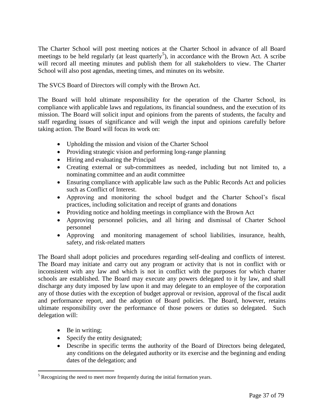The Charter School will post meeting notices at the Charter School in advance of all Board meetings to be held regularly (at least quarterly<sup>5</sup>), in accordance with the Brown Act. A scribe will record all meeting minutes and publish them for all stakeholders to view. The Charter School will also post agendas, meeting times, and minutes on its website.

The SVCS Board of Directors will comply with the Brown Act.

The Board will hold ultimate responsibility for the operation of the Charter School, its compliance with applicable laws and regulations, its financial soundness, and the execution of its mission. The Board will solicit input and opinions from the parents of students, the faculty and staff regarding issues of significance and will weigh the input and opinions carefully before taking action. The Board will focus its work on:

- Upholding the mission and vision of the Charter School
- Providing strategic vision and performing long-range planning
- Hiring and evaluating the Principal
- Creating external or sub-committees as needed, including but not limited to, a nominating committee and an audit committee
- Ensuring compliance with applicable law such as the Public Records Act and policies such as Conflict of Interest.
- Approving and monitoring the school budget and the Charter School's fiscal practices, including solicitation and receipt of grants and donations
- Providing notice and holding meetings in compliance with the Brown Act
- Approving personnel policies, and all hiring and dismissal of Charter School personnel
- Approving and monitoring management of school liabilities, insurance, health, safety, and risk-related matters

The Board shall adopt policies and procedures regarding self-dealing and conflicts of interest. The Board may initiate and carry out any program or activity that is not in conflict with or inconsistent with any law and which is not in conflict with the purposes for which charter schools are established. The Board may execute any powers delegated to it by law, and shall discharge any duty imposed by law upon it and may delegate to an employee of the corporation any of those duties with the exception of budget approval or revision, approval of the fiscal audit and performance report, and the adoption of Board policies. The Board, however, retains ultimate responsibility over the performance of those powers or duties so delegated. Such delegation will:

• Be in writing;

 $\overline{a}$ 

- Specify the entity designated;
- Describe in specific terms the authority of the Board of Directors being delegated, any conditions on the delegated authority or its exercise and the beginning and ending dates of the delegation; and

 $<sup>5</sup>$  Recognizing the need to meet more frequently during the initial formation years.</sup>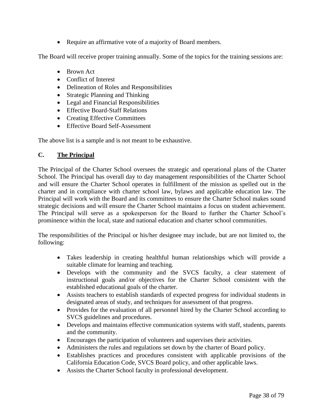• Require an affirmative vote of a majority of Board members.

The Board will receive proper training annually. Some of the topics for the training sessions are:

- Brown Act
- Conflict of Interest
- Delineation of Roles and Responsibilities
- Strategic Planning and Thinking
- Legal and Financial Responsibilities
- Effective Board-Staff Relations
- Creating Effective Committees
- Effective Board Self-Assessment

The above list is a sample and is not meant to be exhaustive.

# **C. The Principal**

The Principal of the Charter School oversees the strategic and operational plans of the Charter School. The Principal has overall day to day management responsibilities of the Charter School and will ensure the Charter School operates in fulfillment of the mission as spelled out in the charter and in compliance with charter school law, bylaws and applicable education law. The Principal will work with the Board and its committees to ensure the Charter School makes sound strategic decisions and will ensure the Charter School maintains a focus on student achievement. The Principal will serve as a spokesperson for the Board to further the Charter School's prominence within the local, state and national education and charter school communities.

The responsibilities of the Principal or his/her designee may include, but are not limited to, the following:

- Takes leadership in creating healthful human relationships which will provide a suitable climate for learning and teaching.
- Develops with the community and the SVCS faculty, a clear statement of instructional goals and/or objectives for the Charter School consistent with the established educational goals of the charter.
- Assists teachers to establish standards of expected progress for individual students in designated areas of study, and techniques for assessment of that progress.
- Provides for the evaluation of all personnel hired by the Charter School according to SVCS guidelines and procedures.
- Develops and maintains effective communication systems with staff, students, parents and the community.
- Encourages the participation of volunteers and supervises their activities.
- Administers the rules and regulations set down by the charter of Board policy.
- Establishes practices and procedures consistent with applicable provisions of the California Education Code, SVCS Board policy, and other applicable laws.
- Assists the Charter School faculty in professional development.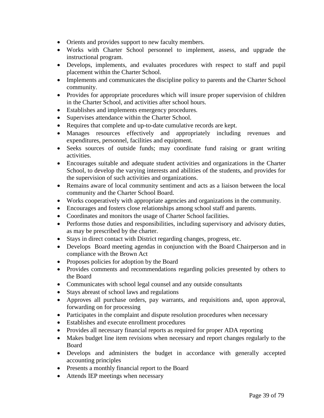- Orients and provides support to new faculty members.
- Works with Charter School personnel to implement, assess, and upgrade the instructional program.
- Develops, implements, and evaluates procedures with respect to staff and pupil placement within the Charter School.
- Implements and communicates the discipline policy to parents and the Charter School community.
- Provides for appropriate procedures which will insure proper supervision of children in the Charter School, and activities after school hours.
- Establishes and implements emergency procedures.
- Supervises attendance within the Charter School.
- Requires that complete and up-to-date cumulative records are kept.
- Manages resources effectively and appropriately including revenues and expenditures, personnel, facilities and equipment.
- Seeks sources of outside funds; may coordinate fund raising or grant writing activities.
- Encourages suitable and adequate student activities and organizations in the Charter School, to develop the varying interests and abilities of the students, and provides for the supervision of such activities and organizations.
- Remains aware of local community sentiment and acts as a liaison between the local community and the Charter School Board.
- Works cooperatively with appropriate agencies and organizations in the community.
- Encourages and fosters close relationships among school staff and parents.
- Coordinates and monitors the usage of Charter School facilities.
- Performs those duties and responsibilities, including supervisory and advisory duties, as may be prescribed by the charter.
- Stays in direct contact with District regarding changes, progress, etc.
- Develops Board meeting agendas in conjunction with the Board Chairperson and in compliance with the Brown Act
- Proposes policies for adoption by the Board
- Provides comments and recommendations regarding policies presented by others to the Board
- Communicates with school legal counsel and any outside consultants
- Stays abreast of school laws and regulations
- Approves all purchase orders, pay warrants, and requisitions and, upon approval, forwarding on for processing
- Participates in the complaint and dispute resolution procedures when necessary
- Establishes and execute enrollment procedures
- Provides all necessary financial reports as required for proper ADA reporting
- Makes budget line item revisions when necessary and report changes regularly to the Board
- Develops and administers the budget in accordance with generally accepted accounting principles
- Presents a monthly financial report to the Board
- Attends IEP meetings when necessary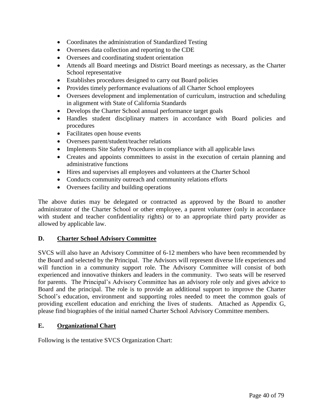- Coordinates the administration of Standardized Testing
- Oversees data collection and reporting to the CDE
- Oversees and coordinating student orientation
- Attends all Board meetings and District Board meetings as necessary, as the Charter School representative
- Establishes procedures designed to carry out Board policies
- Provides timely performance evaluations of all Charter School employees
- Oversees development and implementation of curriculum, instruction and scheduling in alignment with State of California Standards
- Develops the Charter School annual performance target goals
- Handles student disciplinary matters in accordance with Board policies and procedures
- Facilitates open house events
- Oversees parent/student/teacher relations
- Implements Site Safety Procedures in compliance with all applicable laws
- Creates and appoints committees to assist in the execution of certain planning and administrative functions
- Hires and supervises all employees and volunteers at the Charter School
- Conducts community outreach and community relations efforts
- Oversees facility and building operations

The above duties may be delegated or contracted as approved by the Board to another administrator of the Charter School or other employee, a parent volunteer (only in accordance with student and teacher confidentiality rights) or to an appropriate third party provider as allowed by applicable law.

## **D. Charter School Advisory Committee**

SVCS will also have an Advisory Committee of 6-12 members who have been recommended by the Board and selected by the Principal. The Advisors will represent diverse life experiences and will function in a community support role. The Advisory Committee will consist of both experienced and innovative thinkers and leaders in the community. Two seats will be reserved for parents. The Principal's Advisory Committee has an advisory role only and gives advice to Board and the principal. The role is to provide an additional support to improve the Charter School's education, environment and supporting roles needed to meet the common goals of providing excellent education and enriching the lives of students. Attached as Appendix G, please find biographies of the initial named Charter School Advisory Committee members.

## **E. Organizational Chart**

Following is the tentative SVCS Organization Chart: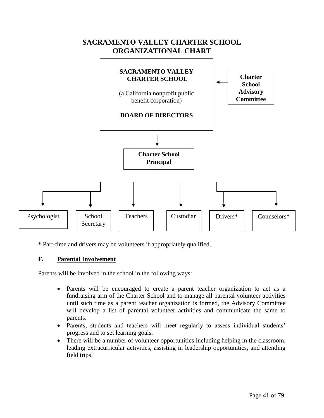

\* Part-time and drivers may be volunteers if appropriately qualified.

# **F. Parental Involvement**

Parents will be involved in the school in the following ways:

- Parents will be encouraged to create a parent teacher organization to act as a fundraising arm of the Charter School and to manage all parental volunteer activities until such time as a parent teacher organization is formed, the Advisory Committee will develop a list of parental volunteer activities and communicate the same to parents.
- Parents, students and teachers will meet regularly to assess individual students' progress and to set learning goals.
- There will be a number of volunteer opportunities including helping in the classroom, leading extracurricular activities, assisting in leadership opportunities, and attending field trips.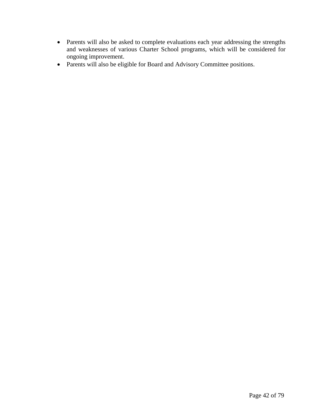- Parents will also be asked to complete evaluations each year addressing the strengths and weaknesses of various Charter School programs, which will be considered for ongoing improvement.
- Parents will also be eligible for Board and Advisory Committee positions.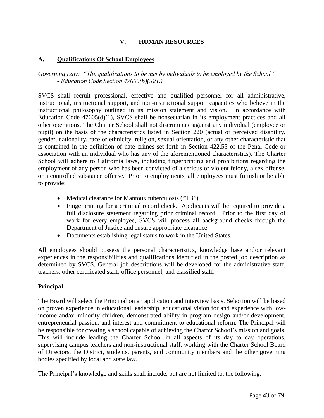# **A. Qualifications Of School Employees**

*Governing Law: "The qualifications to be met by individuals to be employed by the School." - Education Code Section 47605(b)(5)(E)*

SVCS shall recruit professional, effective and qualified personnel for all administrative, instructional, instructional support, and non-instructional support capacities who believe in the instructional philosophy outlined in its mission statement and vision. In accordance with Education Code 47605(d)(1), SVCS shall be nonsectarian in its employment practices and all other operations. The Charter School shall not discriminate against any individual (employee or pupil) on the basis of the characteristics listed in Section 220 (actual or perceived disability, gender, nationality, race or ethnicity, religion, sexual orientation, or any other characteristic that is contained in the definition of hate crimes set forth in Section 422.55 of the Penal Code or association with an individual who has any of the aforementioned characteristics). The Charter School will adhere to California laws, including fingerprinting and prohibitions regarding the employment of any person who has been convicted of a serious or violent felony, a sex offense, or a controlled substance offense. Prior to employments, all employees must furnish or be able to provide:

- Medical clearance for Mantoux tuberculosis ("TB")
- Fingerprinting for a criminal record check. Applicants will be required to provide a full disclosure statement regarding prior criminal record. Prior to the first day of work for every employee, SVCS will process all background checks through the Department of Justice and ensure appropriate clearance.
- Documents establishing legal status to work in the United States.

All employees should possess the personal characteristics, knowledge base and/or relevant experiences in the responsibilities and qualifications identified in the posted job description as determined by SVCS. General job descriptions will be developed for the administrative staff, teachers, other certificated staff, office personnel, and classified staff.

## **Principal**

The Board will select the Principal on an application and interview basis. Selection will be based on proven experience in educational leadership, educational vision for and experience with lowincome and/or minority children, demonstrated ability in program design and/or development, entrepreneurial passion, and interest and commitment to educational reform. The Principal will be responsible for creating a school capable of achieving the Charter School's mission and goals. This will include leading the Charter School in all aspects of its day to day operations, supervising campus teachers and non-instructional staff, working with the Charter School Board of Directors, the District, students, parents, and community members and the other governing bodies specified by local and state law.

The Principal's knowledge and skills shall include, but are not limited to, the following: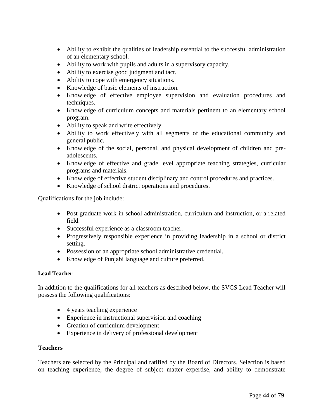- Ability to exhibit the qualities of leadership essential to the successful administration of an elementary school.
- Ability to work with pupils and adults in a supervisory capacity.
- Ability to exercise good judgment and tact.
- Ability to cope with emergency situations.
- Knowledge of basic elements of instruction.
- Knowledge of effective employee supervision and evaluation procedures and techniques.
- Knowledge of curriculum concepts and materials pertinent to an elementary school program.
- Ability to speak and write effectively.
- Ability to work effectively with all segments of the educational community and general public.
- Knowledge of the social, personal, and physical development of children and preadolescents.
- Knowledge of effective and grade level appropriate teaching strategies, curricular programs and materials.
- Knowledge of effective student disciplinary and control procedures and practices.
- Knowledge of school district operations and procedures.

Qualifications for the job include:

- Post graduate work in school administration, curriculum and instruction, or a related field.
- Successful experience as a classroom teacher.
- Progressively responsible experience in providing leadership in a school or district setting.
- Possession of an appropriate school administrative credential.
- Knowledge of Punjabi language and culture preferred.

## **Lead Teacher**

In addition to the qualifications for all teachers as described below, the SVCS Lead Teacher will possess the following qualifications:

- 4 years teaching experience
- Experience in instructional supervision and coaching
- Creation of curriculum development
- Experience in delivery of professional development

## **Teachers**

Teachers are selected by the Principal and ratified by the Board of Directors. Selection is based on teaching experience, the degree of subject matter expertise, and ability to demonstrate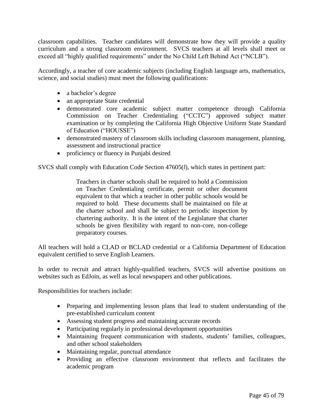classroom capabilities. Teacher candidates will demonstrate how they will provide a quality curriculum and a strong classroom environment. SVCS teachers at all levels shall meet or exceed all "highly qualified requirements" under the No Child Left Behind Act ("NCLB").

Accordingly, a teacher of core academic subjects (including English language arts, mathematics, science, and social studies) must meet the following qualifications:

- a bachelor's degree
- an appropriate State credential
- demonstrated core academic subject matter competence through California Commission on Teacher Credentialing ("CCTC") approved subject matter examination or by completing the California High Objective Uniform State Standard of Education ("HOUSSE")
- demonstrated mastery of classroom skills including classroom management, planning, assessment and instructional practice
- proficiency or fluency in Punjabi desired

SVCS shall comply with Education Code Section 47605(*l*), which states in pertinent part:

Teachers in charter schools shall be required to hold a Commission on Teacher Credentialing certificate, permit or other document equivalent to that which a teacher in other public schools would be required to hold. These documents shall be maintained on file at the charter school and shall be subject to periodic inspection by chartering authority. It is the intent of the Legislature that charter schools be given flexibility with regard to non-core, non-college preparatory courses.

All teachers will hold a CLAD or BCLAD credential or a California Department of Education equivalent certified to serve English Learners.

In order to recruit and attract highly-qualified teachers, SVCS will advertise positions on websites such as EdJoin, as well as local newspapers and other publications.

Responsibilities for teachers include:

- Preparing and implementing lesson plans that lead to student understanding of the pre-established curriculum content
- Assessing student progress and maintaining accurate records
- Participating regularly in professional development opportunities
- Maintaining frequent communication with students, students' families, colleagues, and other school stakeholders
- Maintaining regular, punctual attendance
- Providing an effective classroom environment that reflects and facilitates the academic program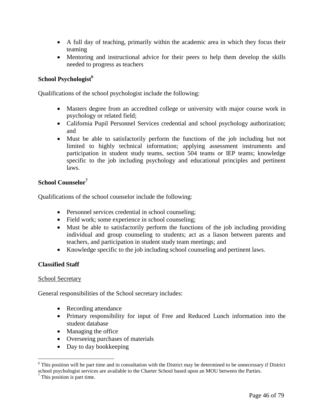- A full day of teaching, primarily within the academic area in which they focus their teaming
- Mentoring and instructional advice for their peers to help them develop the skills needed to progress as teachers

# **School Psychologist<sup>6</sup>**

Qualifications of the school psychologist include the following:

- Masters degree from an accredited college or university with major course work in psychology or related field;
- California Pupil Personnel Services credential and school psychology authorization; and
- Must be able to satisfactorily perform the functions of the job including but not limited to highly technical information; applying assessment instruments and participation in student study teams, section 504 teams or IEP teams; knowledge specific to the job including psychology and educational principles and pertinent laws.

# **School Counselor<sup>7</sup>**

Qualifications of the school counselor include the following:

- Personnel services credential in school counseling;
- Field work; some experience in school counseling;
- Must be able to satisfactorily perform the functions of the job including providing individual and group counseling to students; act as a liason between parents and teachers, and participation in student study team meetings; and
- Knowledge specific to the job including school counseling and pertinent laws.

## **Classified Staff**

## School Secretary

General responsibilities of the School secretary includes:

- Recording attendance
- Primary responsibility for input of Free and Reduced Lunch information into the student database
- Managing the office
- Overseeing purchases of materials
- Day to day bookkeeping

 $\overline{a}$ 

<sup>6</sup> This position will be part time and in consultation with the District may be determined to be unnecessary if District school psychologist services are available to the Charter School based upon an MOU between the Parties.

 $<sup>7</sup>$  This position is part time.</sup>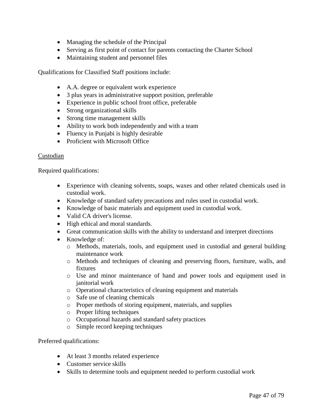- Managing the schedule of the Principal
- Serving as first point of contact for parents contacting the Charter School
- Maintaining student and personnel files

Qualifications for Classified Staff positions include:

- A.A. degree or equivalent work experience
- 3 plus years in administrative support position, preferable
- Experience in public school front office, preferable
- Strong organizational skills
- Strong time management skills
- Ability to work both independently and with a team
- Fluency in Punjabi is highly desirable
- Proficient with Microsoft Office

# Custodian

Required qualifications:

- Experience with cleaning solvents, soaps, waxes and other related chemicals used in custodial work.
- Knowledge of standard safety precautions and rules used in custodial work.
- Knowledge of basic materials and equipment used in custodial work.
- Valid CA driver's license.
- High ethical and moral standards.
- Great communication skills with the ability to understand and interpret directions
- Knowledge of:
	- o Methods, materials, tools, and equipment used in custodial and general building maintenance work
	- o Methods and techniques of cleaning and preserving floors, furniture, walls, and fixtures
	- o Use and minor maintenance of hand and power tools and equipment used in janitorial work
	- o Operational characteristics of cleaning equipment and materials
	- o Safe use of cleaning chemicals
	- o Proper methods of storing equipment, materials, and supplies
	- o Proper lifting techniques
	- o Occupational hazards and standard safety practices
	- o Simple record keeping techniques

Preferred qualifications:

- At least 3 months related experience
- Customer service skills
- Skills to determine tools and equipment needed to perform custodial work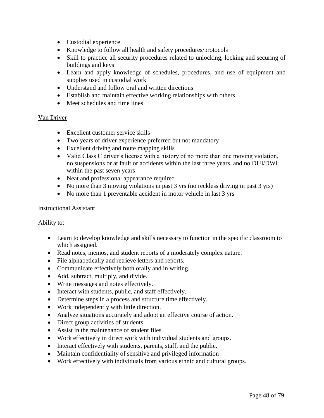- Custodial experience
- Knowledge to follow all health and safety procedures/protocols
- Skill to practice all security procedures related to unlocking, locking and securing of buildings and keys
- Learn and apply knowledge of schedules, procedures, and use of equipment and supplies used in custodial work
- Understand and follow oral and written directions
- Establish and maintain effective working relationships with others
- Meet schedules and time lines

# Van Driver

- Excellent customer service skills
- Two years of driver experience preferred but not mandatory
- Excellent driving and route mapping skills
- Valid Class C driver's license with a history of no more than one moving violation, no suspensions or at fault or accidents within the last three years, and no DUI/DWI within the past seven years
- Neat and professional appearance required
- No more than 3 moving violations in past 3 yrs (no reckless driving in past 3 yrs)
- No more than 1 preventable accident in motor vehicle in last 3 yrs

# Instructional Assistant

Ability to:

- Learn to develop knowledge and skills necessary to function in the specific classroom to which assigned.
- Read notes, memos, and student reports of a moderately complex nature.
- File alphabetically and retrieve letters and reports.
- Communicate effectively both orally and in writing.
- Add, subtract, multiply, and divide.
- Write messages and notes effectively.
- Interact with students, public, and staff effectively.
- Determine steps in a process and structure time effectively.
- Work independently with little direction.
- Analyze situations accurately and adopt an effective course of action.
- Direct group activities of students.
- Assist in the maintenance of student files.
- Work effectively in direct work with individual students and groups.
- Interact effectively with students, parents, staff, and the public.
- Maintain confidentiality of sensitive and privileged information
- Work effectively with individuals from various ethnic and cultural groups.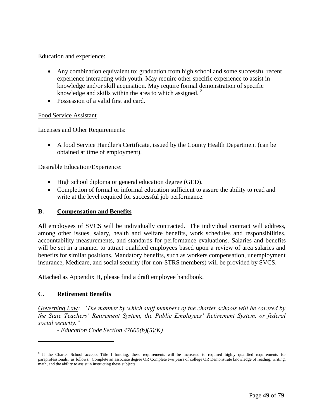Education and experience:

- Any combination equivalent to: graduation from high school and some successful recent experience interacting with youth. May require other specific experience to assist in knowledge and/or skill acquisition. May require formal demonstration of specific knowledge and skills within the area to which assigned. <sup>8</sup>
- Possession of a valid first aid card.

## Food Service Assistant

Licenses and Other Requirements:

 A food Service Handler's Certificate, issued by the County Health Department (can be obtained at time of employment).

Desirable Education/Experience:

- High school diploma or general education degree (GED).
- Completion of formal or informal education sufficient to assure the ability to read and write at the level required for successful job performance.

## **B. Compensation and Benefits**

All employees of SVCS will be individually contracted. The individual contract will address, among other issues, salary, health and welfare benefits, work schedules and responsibilities, accountability measurements, and standards for performance evaluations. Salaries and benefits will be set in a manner to attract qualified employees based upon a review of area salaries and benefits for similar positions. Mandatory benefits, such as workers compensation, unemployment insurance, Medicare, and social security (for non-STRS members) will be provided by SVCS.

Attached as Appendix H, please find a draft employee handbook.

## **C. Retirement Benefits**

 $\overline{a}$ 

*Governing Law: "The manner by which staff members of the charter schools will be covered by the State Teachers' Retirement System, the Public Employees' Retirement System, or federal social security."* 

*- Education Code Section 47605(b)(5)(K)*

<sup>&</sup>lt;sup>8</sup> If the Charter School accepts Title I funding, these requirements will be increased to required highly qualified requirements for paraprofessionals, as follows: Complete an associate degree OR Complete two years of college OR Demonstrate knowledge of reading, writing, math, and the ability to assist in instructing these subjects.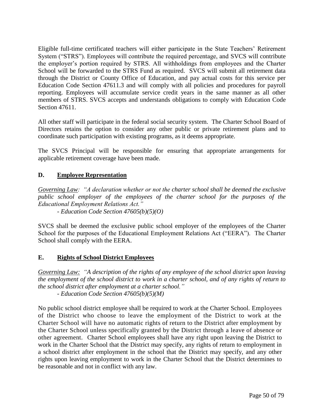Eligible full-time certificated teachers will either participate in the State Teachers' Retirement System ("STRS"). Employees will contribute the required percentage, and SVCS will contribute the employer's portion required by STRS. All withholdings from employees and the Charter School will be forwarded to the STRS Fund as required. SVCS will submit all retirement data through the District or County Office of Education, and pay actual costs for this service per Education Code Section 47611.3 and will comply with all policies and procedures for payroll reporting. Employees will accumulate service credit years in the same manner as all other members of STRS. SVCS accepts and understands obligations to comply with Education Code Section 47611.

All other staff will participate in the federal social security system. The Charter School Board of Directors retains the option to consider any other public or private retirement plans and to coordinate such participation with existing programs, as it deems appropriate.

The SVCS Principal will be responsible for ensuring that appropriate arrangements for applicable retirement coverage have been made.

# **D. Employee Representation**

*Governing Law: "A declaration whether or not the charter school shall be deemed the exclusive public school employer of the employees of the charter school for the purposes of the Educational Employment Relations Act."* 

*- Education Code Section 47605(b)(5)(O)*

SVCS shall be deemed the exclusive public school employer of the employees of the Charter School for the purposes of the Educational Employment Relations Act ("EERA"). The Charter School shall comply with the EERA.

# **E. Rights of School District Employees**

*Governing Law: "A description of the rights of any employee of the school district upon leaving the employment of the school district to work in a charter school, and of any rights of return to the school district after employment at a charter school."* 

*- Education Code Section 47605(b)(5)(M)*

No public school district employee shall be required to work at the Charter School. Employees of the District who choose to leave the employment of the District to work at the Charter School will have no automatic rights of return to the District after employment by the Charter School unless specifically granted by the District through a leave of absence or other agreement. Charter School employees shall have any right upon leaving the District to work in the Charter School that the District may specify, any rights of return to employment in a school district after employment in the school that the District may specify, and any other rights upon leaving employment to work in the Charter School that the District determines to be reasonable and not in conflict with any law.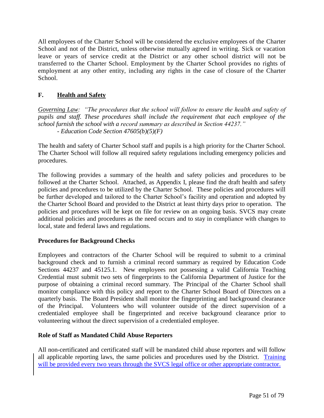All employees of the Charter School will be considered the exclusive employees of the Charter School and not of the District, unless otherwise mutually agreed in writing. Sick or vacation leave or years of service credit at the District or any other school district will not be transferred to the Charter School. Employment by the Charter School provides no rights of employment at any other entity, including any rights in the case of closure of the Charter School.

# **F. Health and Safety**

*Governing Law: "The procedures that the school will follow to ensure the health and safety of pupils and staff. These procedures shall include the requirement that each employee of the school furnish the school with a record summary as described in Section 44237." - Education Code Section 47605(b)(5)(F)*

The health and safety of Charter School staff and pupils is a high priority for the Charter School. The Charter School will follow all required safety regulations including emergency policies and procedures.

The following provides a summary of the health and safety policies and procedures to be followed at the Charter School. Attached, as Appendix I, please find the draft health and safety policies and procedures to be utilized by the Charter School. These policies and procedures will be further developed and tailored to the Charter School's facility and operation and adopted by the Charter School Board and provided to the District at least thirty days prior to operation. The policies and procedures will be kept on file for review on an ongoing basis. SVCS may create additional policies and procedures as the need occurs and to stay in compliance with changes to local, state and federal laws and regulations.

# **Procedures for Background Checks**

Employees and contractors of the Charter School will be required to submit to a criminal background check and to furnish a criminal record summary as required by Education Code Sections 44237 and 45125.1. New employees not possessing a valid California Teaching Credential must submit two sets of fingerprints to the California Department of Justice for the purpose of obtaining a criminal record summary. The Principal of the Charter School shall monitor compliance with this policy and report to the Charter School Board of Directors on a quarterly basis. The Board President shall monitor the fingerprinting and background clearance of the Principal. Volunteers who will volunteer outside of the direct supervision of a credentialed employee shall be fingerprinted and receive background clearance prior to volunteering without the direct supervision of a credentialed employee.

# **Role of Staff as Mandated Child Abuse Reporters**

All non-certificated and certificated staff will be mandated child abuse reporters and will follow all applicable reporting laws, the same policies and procedures used by the District. Training will be provided every two years through the SVCS legal office or other appropriate contractor.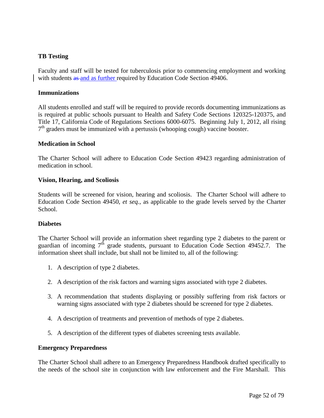# **TB Testing**

Faculty and staff will be tested for tuberculosis prior to commencing employment and working with students as and as further required by Education Code Section 49406.

#### **Immunizations**

All students enrolled and staff will be required to provide records documenting immunizations as is required at public schools pursuant to Health and Safety Code Sections 120325-120375, and Title 17, California Code of Regulations Sections 6000-6075. Beginning July 1, 2012, all rising 7<sup>th</sup> graders must be immunized with a pertussis (whooping cough) vaccine booster.

#### **Medication in School**

The Charter School will adhere to Education Code Section 49423 regarding administration of medication in school.

#### **Vision, Hearing, and Scoliosis**

Students will be screened for vision, hearing and scoliosis. The Charter School will adhere to Education Code Section 49450, *et seq.*, as applicable to the grade levels served by the Charter School.

#### **Diabetes**

The Charter School will provide an information sheet regarding type 2 diabetes to the parent or guardian of incoming  $7<sup>th</sup>$  grade students, pursuant to Education Code Section 49452.7. The information sheet shall include, but shall not be limited to, all of the following:

- 1. A description of type 2 diabetes.
- 2. A description of the risk factors and warning signs associated with type 2 diabetes.
- 3. A recommendation that students displaying or possibly suffering from risk factors or warning signs associated with type 2 diabetes should be screened for type 2 diabetes.
- 4. A description of treatments and prevention of methods of type 2 diabetes.
- 5. A description of the different types of diabetes screening tests available.

#### **Emergency Preparedness**

The Charter School shall adhere to an Emergency Preparedness Handbook drafted specifically to the needs of the school site in conjunction with law enforcement and the Fire Marshall. This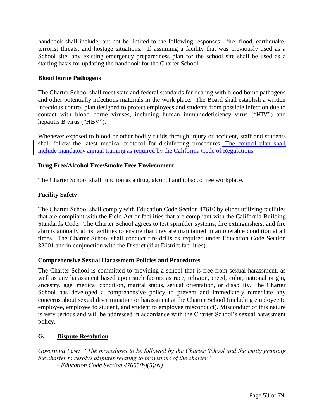handbook shall include, but not be limited to the following responses: fire, flood, earthquake, terrorist threats, and hostage situations. If assuming a facility that was previously used as a School site, any existing emergency preparedness plan for the school site shall be used as a starting basis for updating the handbook for the Charter School.

# **Blood borne Pathogens**

The Charter School shall meet state and federal standards for dealing with blood borne pathogens and other potentially infectious materials in the work place. The Board shall establish a written infectious control plan designed to protect employees and students from possible infection due to contact with blood borne viruses, including human immunodeficiency virus ("HIV") and hepatitis B virus ("HBV").

Whenever exposed to blood or other bodily fluids through injury or accident, staff and students shall follow the latest medical protocol for disinfecting procedures. The control plan shall include mandatory annual training as required by the California Code of Regulations

# **Drug Free/Alcohol Free/Smoke Free Environment**

The Charter School shall function as a drug, alcohol and tobacco free workplace.

# **Facility Safety**

The Charter School shall comply with Education Code Section 47610 by either utilizing facilities that are compliant with the Field Act or facilities that are compliant with the California Building Standards Code. The Charter School agrees to test sprinkler systems, fire extinguishers, and fire alarms annually at its facilities to ensure that they are maintained in an operable condition at all times. The Charter School shall conduct fire drills as required under Education Code Section 32001 and in conjunction with the District (if at District facilities).

## **Comprehensive Sexual Harassment Policies and Procedures**

The Charter School is committed to providing a school that is free from sexual harassment, as well as any harassment based upon such factors as race, religion, creed, color, national origin, ancestry, age, medical condition, marital status, sexual orientation, or disability. The Charter School has developed a comprehensive policy to prevent and immediately remediate any concerns about sexual discrimination or harassment at the Charter School (including employee to employee, employee to student, and student to employee misconduct). Misconduct of this nature is very serious and will be addressed in accordance with the Charter School's sexual harassment policy.

## **G. Dispute Resolution**

*Governing Law: "The procedures to be followed by the Charter School and the entity granting the charter to resolve disputes relating to provisions of the charter." - Education Code Section 47605(b)(5)(N)*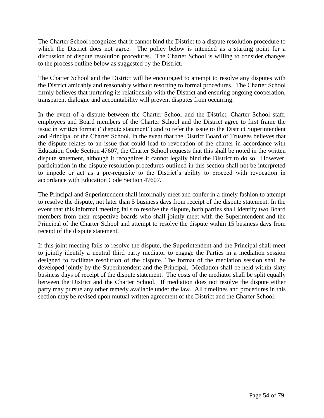The Charter School recognizes that it cannot bind the District to a dispute resolution procedure to which the District does not agree. The policy below is intended as a starting point for a discussion of dispute resolution procedures. The Charter School is willing to consider changes to the process outline below as suggested by the District.

The Charter School and the District will be encouraged to attempt to resolve any disputes with the District amicably and reasonably without resorting to formal procedures. The Charter School firmly believes that nurturing its relationship with the District and ensuring ongoing cooperation, transparent dialogue and accountability will prevent disputes from occurring.

In the event of a dispute between the Charter School and the District, Charter School staff, employees and Board members of the Charter School and the District agree to first frame the issue in written format ("dispute statement") and to refer the issue to the District Superintendent and Principal of the Charter School. In the event that the District Board of Trustees believes that the dispute relates to an issue that could lead to revocation of the charter in accordance with Education Code Section 47607, the Charter School requests that this shall be noted in the written dispute statement, although it recognizes it cannot legally bind the District to do so. However, participation in the dispute resolution procedures outlined in this section shall not be interpreted to impede or act as a pre-requisite to the District's ability to proceed with revocation in accordance with Education Code Section 47607.

The Principal and Superintendent shall informally meet and confer in a timely fashion to attempt to resolve the dispute, not later than 5 business days from receipt of the dispute statement. In the event that this informal meeting fails to resolve the dispute, both parties shall identify two Board members from their respective boards who shall jointly meet with the Superintendent and the Principal of the Charter School and attempt to resolve the dispute within 15 business days from receipt of the dispute statement.

If this joint meeting fails to resolve the dispute, the Superintendent and the Principal shall meet to jointly identify a neutral third party mediator to engage the Parties in a mediation session designed to facilitate resolution of the dispute. The format of the mediation session shall be developed jointly by the Superintendent and the Principal. Mediation shall be held within sixty business days of receipt of the dispute statement. The costs of the mediator shall be split equally between the District and the Charter School. If mediation does not resolve the dispute either party may pursue any other remedy available under the law. All timelines and procedures in this section may be revised upon mutual written agreement of the District and the Charter School.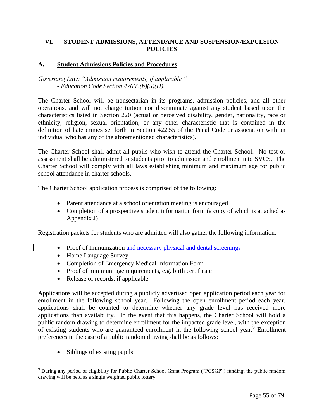# **A. Student Admissions Policies and Procedures**

*Governing Law: "Admission requirements, if applicable." - Education Code Section 47605(b)(5)(H).*

The Charter School will be nonsectarian in its programs, admission policies, and all other operations, and will not charge tuition nor discriminate against any student based upon the characteristics listed in Section 220 (actual or perceived disability, gender, nationality, race or ethnicity, religion, sexual orientation, or any other characteristic that is contained in the definition of hate crimes set forth in Section 422.55 of the Penal Code or association with an individual who has any of the aforementioned characteristics).

The Charter School shall admit all pupils who wish to attend the Charter School. No test or assessment shall be administered to students prior to admission and enrollment into SVCS. The Charter School will comply with all laws establishing minimum and maximum age for public school attendance in charter schools.

The Charter School application process is comprised of the following:

- Parent attendance at a school orientation meeting is encouraged
- Completion of a prospective student information form (a copy of which is attached as Appendix J)

Registration packets for students who are admitted will also gather the following information:

- Proof of Immunization and necessary physical and dental screenings
- Home Language Survey
- Completion of Emergency Medical Information Form
- Proof of minimum age requirements, e.g. birth certificate
- Release of records, if applicable

Applications will be accepted during a publicly advertised open application period each year for enrollment in the following school year. Following the open enrollment period each year, applications shall be counted to determine whether any grade level has received more applications than availability. In the event that this happens, the Charter School will hold a public random drawing to determine enrollment for the impacted grade level, with the exception of existing students who are guaranteed enrollment in the following school year.<sup>9</sup> Enrollment preferences in the case of a public random drawing shall be as follows:

• Siblings of existing pupils

 $\overline{a}$ 

 $9$  During any period of eligibility for Public Charter School Grant Program ("PCSGP") funding, the public random drawing will be held as a single weighted public lottery.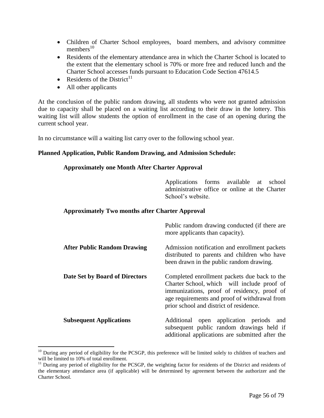- Children of Charter School employees, board members, and advisory committee members $10<sup>10</sup>$
- Residents of the elementary attendance area in which the Charter School is located to the extent that the elementary school is 70% or more free and reduced lunch and the Charter School accesses funds pursuant to Education Code Section 47614.5
- Residents of the District<sup>11</sup>
- All other applicants

 $\overline{a}$ 

At the conclusion of the public random drawing, all students who were not granted admission due to capacity shall be placed on a waiting list according to their draw in the lottery. This waiting list will allow students the option of enrollment in the case of an opening during the current school year.

In no circumstance will a waiting list carry over to the following school year.

## **Planned Application, Public Random Drawing, and Admission Schedule:**

## **Approximately one Month After Charter Approval**

Applications forms available at school administrative office or online at the Charter School's website.

## **Approximately Two months after Charter Approval**

|                                    | Public random drawing conducted (if there are<br>more applicants than capacity).                                                                                                                                                       |
|------------------------------------|----------------------------------------------------------------------------------------------------------------------------------------------------------------------------------------------------------------------------------------|
| <b>After Public Random Drawing</b> | Admission notification and enrollment packets<br>distributed to parents and children who have<br>been drawn in the public random drawing.                                                                                              |
| Date Set by Board of Directors     | Completed enrollment packets due back to the<br>Charter School, which will include proof of<br>immunizations, proof of residency, proof of<br>age requirements and proof of withdrawal from<br>prior school and district of residence. |
| <b>Subsequent Applications</b>     | Additional open application periods<br>and<br>subsequent public random drawings held if<br>additional applications are submitted after the                                                                                             |

<sup>&</sup>lt;sup>10</sup> During any period of eligibility for the PCSGP, this preference will be limited solely to children of teachers and will be limited to 10% of total enrollment.

 $11$  During any period of eligibility for the PCSGP, the weighting factor for residents of the District and residents of the elementary attendance area (if applicable) will be determined by agreement between the authorizer and the Charter School.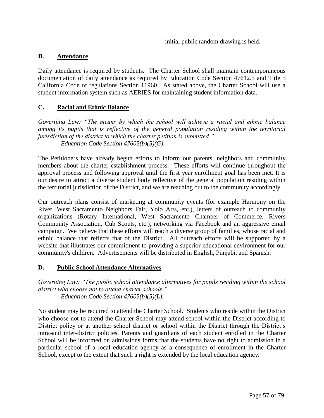initial public random drawing is held.

# **B. Attendance**

Daily attendance is required by students. The Charter School shall maintain contemporaneous documentation of daily attendance as required by Education Code Section 47612.5 and Title 5 California Code of regulations Section 11960. As stated above, the Charter School will use a student information system such as AERIES for maintaining student information data.

# **C. Racial and Ethnic Balance**

*Governing Law: "The means by which the school will achieve a racial and ethnic balance among its pupils that is reflective of the general population residing within the territorial jurisdiction of the district to which the charter petition is submitted." - Education Code Section 47605(b)(5)(G).*

The Petitioners have already begun efforts to inform our parents, neighbors and community members about the charter establishment process. These efforts will continue throughout the approval process and following approval until the first year enrollment goal has been met. It is our desire to attract a diverse student body reflective of the general population residing within the territorial jurisdiction of the District, and we are reaching out to the community accordingly.

Our outreach plans consist of marketing at community events (for example Harmony on the River, West Sacramento Neighbors Fair, Yolo Arts, etc.), letters of outreach to community organizations (Rotary International, West Sacramento Chamber of Commerce, Rivers Community Association, Cub Scouts, etc.), networking via Facebook and an aggressive email campaign. We believe that these efforts will reach a diverse group of families, whose racial and ethnic balance that reflects that of the District. All outreach efforts will be supported by a website that illustrates our commitment to providing a superior educational environment for our community's children. Advertisements will be distributed in English, Punjabi, and Spanish.

## **D. Public School Attendance Alternatives**

*Governing Law: "The public school attendance alternatives for pupils residing within the school district who choose not to attend charter schools." - Education Code Section 47605(b)(5)(L).*

No student may be required to attend the Charter School. Students who reside within the District who choose not to attend the Charter School may attend school within the District according to District policy or at another school district or school within the District through the District's intra-and inter-district policies. Parents and guardians of each student enrolled in the Charter School will be informed on admissions forms that the students have no right to admission in a particular school of a local education agency as a consequence of enrollment in the Charter School, except to the extent that such a right is extended by the local education agency.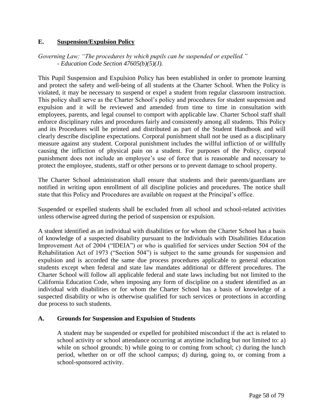# **E. Suspension/Expulsion Policy**

*Governing Law: "The procedures by which pupils can be suspended or expelled." - Education Code Section 47605(b)(5)(J).*

This Pupil Suspension and Expulsion Policy has been established in order to promote learning and protect the safety and well-being of all students at the Charter School. When the Policy is violated, it may be necessary to suspend or expel a student from regular classroom instruction. This policy shall serve as the Charter School's policy and procedures for student suspension and expulsion and it will be reviewed and amended from time to time in consultation with employees, parents, and legal counsel to comport with applicable law. Charter School staff shall enforce disciplinary rules and procedures fairly and consistently among all students. This Policy and its Procedures will be printed and distributed as part of the Student Handbook and will clearly describe discipline expectations. Corporal punishment shall not be used as a disciplinary measure against any student. Corporal punishment includes the willful infliction of or willfully causing the infliction of physical pain on a student. For purposes of the Policy, corporal punishment does not include an employee's use of force that is reasonable and necessary to protect the employee, students, staff or other persons or to prevent damage to school property.

The Charter School administration shall ensure that students and their parents/guardians are notified in writing upon enrollment of all discipline policies and procedures. The notice shall state that this Policy and Procedures are available on request at the Principal's office.

Suspended or expelled students shall be excluded from all school and school-related activities unless otherwise agreed during the period of suspension or expulsion.

A student identified as an individual with disabilities or for whom the Charter School has a basis of knowledge of a suspected disability pursuant to the Individuals with Disabilities Education Improvement Act of 2004 ("IDEIA") or who is qualified for services under Section 504 of the Rehabilitation Act of 1973 ("Section 504") is subject to the same grounds for suspension and expulsion and is accorded the same due process procedures applicable to general education students except when federal and state law mandates additional or different procedures. The Charter School will follow all applicable federal and state laws including but not limited to the California Education Code, when imposing any form of discipline on a student identified as an individual with disabilities or for whom the Charter School has a basis of knowledge of a suspected disability or who is otherwise qualified for such services or protections in according due process to such students.

## **A. Grounds for Suspension and Expulsion of Students**

A student may be suspended or expelled for prohibited misconduct if the act is related to school activity or school attendance occurring at anytime including but not limited to: a) while on school grounds; b) while going to or coming from school; c) during the lunch period, whether on or off the school campus; d) during, going to, or coming from a school-sponsored activity.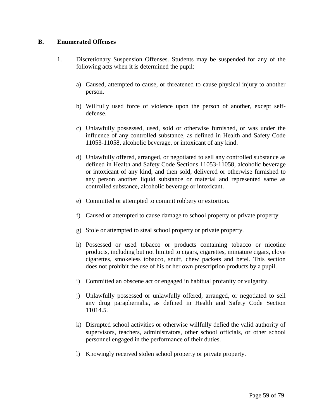# **B. Enumerated Offenses**

- 1. Discretionary Suspension Offenses. Students may be suspended for any of the following acts when it is determined the pupil:
	- a) Caused, attempted to cause, or threatened to cause physical injury to another person.
	- b) Willfully used force of violence upon the person of another, except selfdefense.
	- c) Unlawfully possessed, used, sold or otherwise furnished, or was under the influence of any controlled substance, as defined in Health and Safety Code 11053-11058, alcoholic beverage, or intoxicant of any kind.
	- d) Unlawfully offered, arranged, or negotiated to sell any controlled substance as defined in Health and Safety Code Sections 11053-11058, alcoholic beverage or intoxicant of any kind, and then sold, delivered or otherwise furnished to any person another liquid substance or material and represented same as controlled substance, alcoholic beverage or intoxicant.
	- e) Committed or attempted to commit robbery or extortion.
	- f) Caused or attempted to cause damage to school property or private property.
	- g) Stole or attempted to steal school property or private property.
	- h) Possessed or used tobacco or products containing tobacco or nicotine products, including but not limited to cigars, cigarettes, miniature cigars, clove cigarettes, smokeless tobacco, snuff, chew packets and betel. This section does not prohibit the use of his or her own prescription products by a pupil.
	- i) Committed an obscene act or engaged in habitual profanity or vulgarity.
	- j) Unlawfully possessed or unlawfully offered, arranged, or negotiated to sell any drug paraphernalia, as defined in Health and Safety Code Section 11014.5.
	- k) Disrupted school activities or otherwise willfully defied the valid authority of supervisors, teachers, administrators, other school officials, or other school personnel engaged in the performance of their duties.
	- l) Knowingly received stolen school property or private property.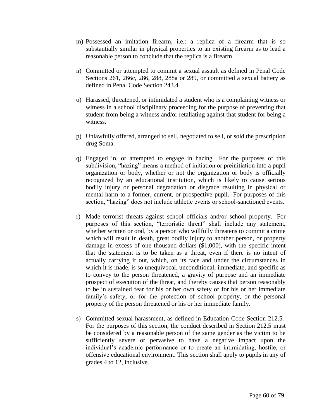- m) Possessed an imitation firearm, i.e.: a replica of a firearm that is so substantially similar in physical properties to an existing firearm as to lead a reasonable person to conclude that the replica is a firearm.
- n) Committed or attempted to commit a sexual assault as defined in Penal Code Sections 261, 266c, 286, 288, 288a or 289, or committed a sexual battery as defined in Penal Code Section 243.4.
- o) Harassed, threatened, or intimidated a student who is a complaining witness or witness in a school disciplinary proceeding for the purpose of preventing that student from being a witness and/or retaliating against that student for being a witness.
- p) Unlawfully offered, arranged to sell, negotiated to sell, or sold the prescription drug Soma.
- q) Engaged in, or attempted to engage in hazing. For the purposes of this subdivision, "hazing" means a method of initiation or preinitiation into a pupil organization or body, whether or not the organization or body is officially recognized by an educational institution, which is likely to cause serious bodily injury or personal degradation or disgrace resulting in physical or mental harm to a former, current, or prospective pupil. For purposes of this section, "hazing" does not include athletic events or school-sanctioned events.
- r) Made terrorist threats against school officials and/or school property. For purposes of this section, "terroristic threat" shall include any statement, whether written or oral, by a person who willfully threatens to commit a crime which will result in death, great bodily injury to another person, or property damage in excess of one thousand dollars (\$1,000), with the specific intent that the statement is to be taken as a threat, even if there is no intent of actually carrying it out, which, on its face and under the circumstances in which it is made, is so unequivocal, unconditional, immediate, and specific as to convey to the person threatened, a gravity of purpose and an immediate prospect of execution of the threat, and thereby causes that person reasonably to be in sustained fear for his or her own safety or for his or her immediate family's safety, or for the protection of school property, or the personal property of the person threatened or his or her immediate family.
- s) Committed sexual harassment, as defined in Education Code Section 212.5. For the purposes of this section, the conduct described in Section 212.5 must be considered by a reasonable person of the same gender as the victim to be sufficiently severe or pervasive to have a negative impact upon the individual's academic performance or to create an intimidating, hostile, or offensive educational environment. This section shall apply to pupils in any of grades 4 to 12, inclusive.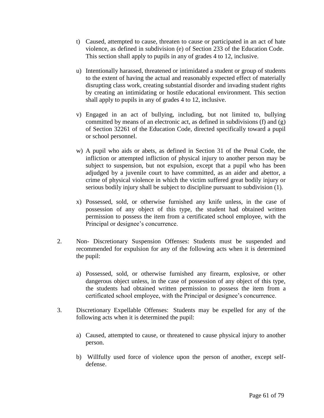- t) Caused, attempted to cause, threaten to cause or participated in an act of hate violence, as defined in subdivision (e) of Section 233 of the Education Code. This section shall apply to pupils in any of grades 4 to 12, inclusive.
- u) Intentionally harassed, threatened or intimidated a student or group of students to the extent of having the actual and reasonably expected effect of materially disrupting class work, creating substantial disorder and invading student rights by creating an intimidating or hostile educational environment. This section shall apply to pupils in any of grades 4 to 12, inclusive.
- v) Engaged in an act of bullying, including, but not limited to, bullying committed by means of an electronic act, as defined in subdivisions (f) and (g) of Section 32261 of the Education Code, directed specifically toward a pupil or school personnel.
- w) A pupil who aids or abets, as defined in Section 31 of the Penal Code, the infliction or attempted infliction of physical injury to another person may be subject to suspension, but not expulsion, except that a pupil who has been adjudged by a juvenile court to have committed, as an aider and abettor, a crime of physical violence in which the victim suffered great bodily injury or serious bodily injury shall be subject to discipline pursuant to subdivision (1).
- x) Possessed, sold, or otherwise furnished any knife unless, in the case of possession of any object of this type, the student had obtained written permission to possess the item from a certificated school employee, with the Principal or designee's concurrence.
- 2. Non- Discretionary Suspension Offenses: Students must be suspended and recommended for expulsion for any of the following acts when it is determined the pupil:
	- a) Possessed, sold, or otherwise furnished any firearm, explosive, or other dangerous object unless, in the case of possession of any object of this type, the students had obtained written permission to possess the item from a certificated school employee, with the Principal or designee's concurrence.
- 3. Discretionary Expellable Offenses: Students may be expelled for any of the following acts when it is determined the pupil:
	- a) Caused, attempted to cause, or threatened to cause physical injury to another person.
	- b) Willfully used force of violence upon the person of another, except selfdefense.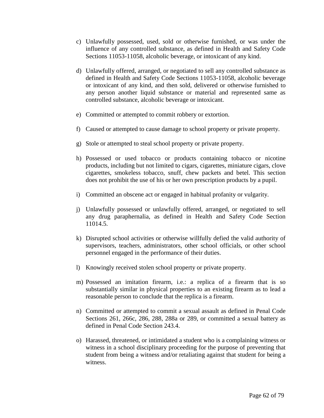- c) Unlawfully possessed, used, sold or otherwise furnished, or was under the influence of any controlled substance, as defined in Health and Safety Code Sections 11053-11058, alcoholic beverage, or intoxicant of any kind.
- d) Unlawfully offered, arranged, or negotiated to sell any controlled substance as defined in Health and Safety Code Sections 11053-11058, alcoholic beverage or intoxicant of any kind, and then sold, delivered or otherwise furnished to any person another liquid substance or material and represented same as controlled substance, alcoholic beverage or intoxicant.
- e) Committed or attempted to commit robbery or extortion.
- f) Caused or attempted to cause damage to school property or private property.
- g) Stole or attempted to steal school property or private property.
- h) Possessed or used tobacco or products containing tobacco or nicotine products, including but not limited to cigars, cigarettes, miniature cigars, clove cigarettes, smokeless tobacco, snuff, chew packets and betel. This section does not prohibit the use of his or her own prescription products by a pupil.
- i) Committed an obscene act or engaged in habitual profanity or vulgarity.
- j) Unlawfully possessed or unlawfully offered, arranged, or negotiated to sell any drug paraphernalia, as defined in Health and Safety Code Section 11014.5.
- k) Disrupted school activities or otherwise willfully defied the valid authority of supervisors, teachers, administrators, other school officials, or other school personnel engaged in the performance of their duties.
- l) Knowingly received stolen school property or private property.
- m) Possessed an imitation firearm, i.e.: a replica of a firearm that is so substantially similar in physical properties to an existing firearm as to lead a reasonable person to conclude that the replica is a firearm.
- n) Committed or attempted to commit a sexual assault as defined in Penal Code Sections 261, 266c, 286, 288, 288a or 289, or committed a sexual battery as defined in Penal Code Section 243.4.
- o) Harassed, threatened, or intimidated a student who is a complaining witness or witness in a school disciplinary proceeding for the purpose of preventing that student from being a witness and/or retaliating against that student for being a witness.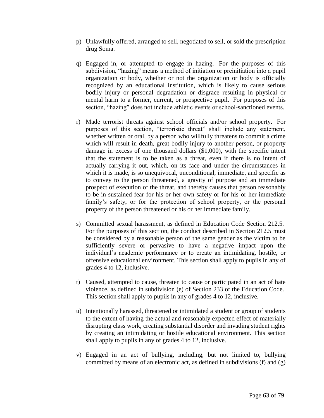- p) Unlawfully offered, arranged to sell, negotiated to sell, or sold the prescription drug Soma.
- q) Engaged in, or attempted to engage in hazing. For the purposes of this subdivision, "hazing" means a method of initiation or preinitiation into a pupil organization or body, whether or not the organization or body is officially recognized by an educational institution, which is likely to cause serious bodily injury or personal degradation or disgrace resulting in physical or mental harm to a former, current, or prospective pupil. For purposes of this section, "hazing" does not include athletic events or school-sanctioned events.
- r) Made terrorist threats against school officials and/or school property. For purposes of this section, "terroristic threat" shall include any statement, whether written or oral, by a person who willfully threatens to commit a crime which will result in death, great bodily injury to another person, or property damage in excess of one thousand dollars (\$1,000), with the specific intent that the statement is to be taken as a threat, even if there is no intent of actually carrying it out, which, on its face and under the circumstances in which it is made, is so unequivocal, unconditional, immediate, and specific as to convey to the person threatened, a gravity of purpose and an immediate prospect of execution of the threat, and thereby causes that person reasonably to be in sustained fear for his or her own safety or for his or her immediate family's safety, or for the protection of school property, or the personal property of the person threatened or his or her immediate family.
- s) Committed sexual harassment, as defined in Education Code Section 212.5. For the purposes of this section, the conduct described in Section 212.5 must be considered by a reasonable person of the same gender as the victim to be sufficiently severe or pervasive to have a negative impact upon the individual's academic performance or to create an intimidating, hostile, or offensive educational environment. This section shall apply to pupils in any of grades 4 to 12, inclusive.
- t) Caused, attempted to cause, threaten to cause or participated in an act of hate violence, as defined in subdivision (e) of Section 233 of the Education Code. This section shall apply to pupils in any of grades 4 to 12, inclusive.
- u) Intentionally harassed, threatened or intimidated a student or group of students to the extent of having the actual and reasonably expected effect of materially disrupting class work, creating substantial disorder and invading student rights by creating an intimidating or hostile educational environment. This section shall apply to pupils in any of grades 4 to 12, inclusive.
- v) Engaged in an act of bullying, including, but not limited to, bullying committed by means of an electronic act, as defined in subdivisions (f) and (g)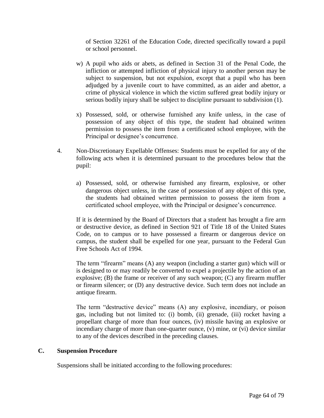of Section 32261 of the Education Code, directed specifically toward a pupil or school personnel.

- w) A pupil who aids or abets, as defined in Section 31 of the Penal Code, the infliction or attempted infliction of physical injury to another person may be subject to suspension, but not expulsion, except that a pupil who has been adjudged by a juvenile court to have committed, as an aider and abettor, a crime of physical violence in which the victim suffered great bodily injury or serious bodily injury shall be subject to discipline pursuant to subdivision (1).
- x) Possessed, sold, or otherwise furnished any knife unless, in the case of possession of any object of this type, the student had obtained written permission to possess the item from a certificated school employee, with the Principal or designee's concurrence.
- 4. Non-Discretionary Expellable Offenses: Students must be expelled for any of the following acts when it is determined pursuant to the procedures below that the pupil:
	- a) Possessed, sold, or otherwise furnished any firearm, explosive, or other dangerous object unless, in the case of possession of any object of this type, the students had obtained written permission to possess the item from a certificated school employee, with the Principal or designee's concurrence.

If it is determined by the Board of Directors that a student has brought a fire arm or destructive device, as defined in Section 921 of Title 18 of the United States Code, on to campus or to have possessed a firearm or dangerous device on campus, the student shall be expelled for one year, pursuant to the Federal Gun Free Schools Act of 1994.

The term "firearm" means (A) any weapon (including a starter gun) which will or is designed to or may readily be converted to expel a projectile by the action of an explosive; (B) the frame or receiver of any such weapon; (C) any firearm muffler or firearm silencer; or (D) any destructive device. Such term does not include an antique firearm.

The term "destructive device" means (A) any explosive, incendiary, or poison gas, including but not limited to: (i) bomb, (ii) grenade, (iii) rocket having a propellant charge of more than four ounces, (iv) missile having an explosive or incendiary charge of more than one-quarter ounce, (v) mine, or (vi) device similar to any of the devices described in the preceding clauses.

## **C. Suspension Procedure**

Suspensions shall be initiated according to the following procedures: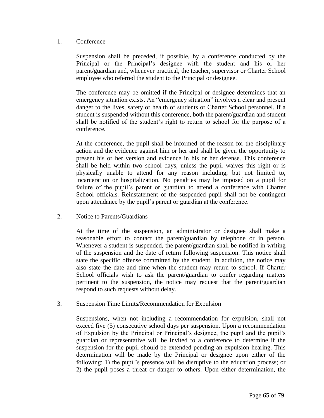## 1. Conference

Suspension shall be preceded, if possible, by a conference conducted by the Principal or the Principal's designee with the student and his or her parent/guardian and, whenever practical, the teacher, supervisor or Charter School employee who referred the student to the Principal or designee.

The conference may be omitted if the Principal or designee determines that an emergency situation exists. An "emergency situation" involves a clear and present danger to the lives, safety or health of students or Charter School personnel. If a student is suspended without this conference, both the parent/guardian and student shall be notified of the student's right to return to school for the purpose of a conference.

At the conference, the pupil shall be informed of the reason for the disciplinary action and the evidence against him or her and shall be given the opportunity to present his or her version and evidence in his or her defense. This conference shall be held within two school days, unless the pupil waives this right or is physically unable to attend for any reason including, but not limited to, incarceration or hospitalization. No penalties may be imposed on a pupil for failure of the pupil's parent or guardian to attend a conference with Charter School officials. Reinstatement of the suspended pupil shall not be contingent upon attendance by the pupil's parent or guardian at the conference.

2. Notice to Parents/Guardians

At the time of the suspension, an administrator or designee shall make a reasonable effort to contact the parent/guardian by telephone or in person. Whenever a student is suspended, the parent/guardian shall be notified in writing of the suspension and the date of return following suspension. This notice shall state the specific offense committed by the student. In addition, the notice may also state the date and time when the student may return to school. If Charter School officials wish to ask the parent/guardian to confer regarding matters pertinent to the suspension, the notice may request that the parent/guardian respond to such requests without delay.

3. Suspension Time Limits/Recommendation for Expulsion

Suspensions, when not including a recommendation for expulsion, shall not exceed five (5) consecutive school days per suspension. Upon a recommendation of Expulsion by the Principal or Principal's designee, the pupil and the pupil's guardian or representative will be invited to a conference to determine if the suspension for the pupil should be extended pending an expulsion hearing. This determination will be made by the Principal or designee upon either of the following: 1) the pupil's presence will be disruptive to the education process; or 2) the pupil poses a threat or danger to others. Upon either determination, the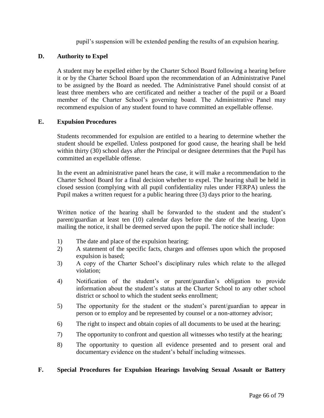pupil's suspension will be extended pending the results of an expulsion hearing.

# **D. Authority to Expel**

A student may be expelled either by the Charter School Board following a hearing before it or by the Charter School Board upon the recommendation of an Administrative Panel to be assigned by the Board as needed. The Administrative Panel should consist of at least three members who are certificated and neither a teacher of the pupil or a Board member of the Charter School's governing board. The Administrative Panel may recommend expulsion of any student found to have committed an expellable offense.

# **E. Expulsion Procedures**

Students recommended for expulsion are entitled to a hearing to determine whether the student should be expelled. Unless postponed for good cause, the hearing shall be held within thirty (30) school days after the Principal or designee determines that the Pupil has committed an expellable offense.

In the event an administrative panel hears the case, it will make a recommendation to the Charter School Board for a final decision whether to expel. The hearing shall be held in closed session (complying with all pupil confidentiality rules under FERPA) unless the Pupil makes a written request for a public hearing three (3) days prior to the hearing.

Written notice of the hearing shall be forwarded to the student and the student's parent/guardian at least ten (10) calendar days before the date of the hearing. Upon mailing the notice, it shall be deemed served upon the pupil. The notice shall include:

- 1) The date and place of the expulsion hearing;
- 2) A statement of the specific facts, charges and offenses upon which the proposed expulsion is based;
- 3) A copy of the Charter School's disciplinary rules which relate to the alleged violation;
- 4) Notification of the student's or parent/guardian's obligation to provide information about the student's status at the Charter School to any other school district or school to which the student seeks enrollment;
- 5) The opportunity for the student or the student's parent/guardian to appear in person or to employ and be represented by counsel or a non-attorney advisor;
- 6) The right to inspect and obtain copies of all documents to be used at the hearing;
- 7) The opportunity to confront and question all witnesses who testify at the hearing;
- 8) The opportunity to question all evidence presented and to present oral and documentary evidence on the student's behalf including witnesses.

## **F. Special Procedures for Expulsion Hearings Involving Sexual Assault or Battery**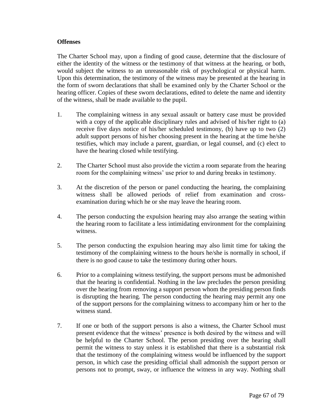## **Offenses**

The Charter School may, upon a finding of good cause, determine that the disclosure of either the identity of the witness or the testimony of that witness at the hearing, or both, would subject the witness to an unreasonable risk of psychological or physical harm. Upon this determination, the testimony of the witness may be presented at the hearing in the form of sworn declarations that shall be examined only by the Charter School or the hearing officer. Copies of these sworn declarations, edited to delete the name and identity of the witness, shall be made available to the pupil.

- 1. The complaining witness in any sexual assault or battery case must be provided with a copy of the applicable disciplinary rules and advised of his/her right to (a) receive five days notice of his/her scheduled testimony, (b) have up to two (2) adult support persons of his/her choosing present in the hearing at the time he/she testifies, which may include a parent, guardian, or legal counsel, and (c) elect to have the hearing closed while testifying.
- 2. The Charter School must also provide the victim a room separate from the hearing room for the complaining witness' use prior to and during breaks in testimony.
- 3. At the discretion of the person or panel conducting the hearing, the complaining witness shall be allowed periods of relief from examination and crossexamination during which he or she may leave the hearing room.
- 4. The person conducting the expulsion hearing may also arrange the seating within the hearing room to facilitate a less intimidating environment for the complaining witness.
- 5. The person conducting the expulsion hearing may also limit time for taking the testimony of the complaining witness to the hours he/she is normally in school, if there is no good cause to take the testimony during other hours.
- 6. Prior to a complaining witness testifying, the support persons must be admonished that the hearing is confidential. Nothing in the law precludes the person presiding over the hearing from removing a support person whom the presiding person finds is disrupting the hearing. The person conducting the hearing may permit any one of the support persons for the complaining witness to accompany him or her to the witness stand.
- 7. If one or both of the support persons is also a witness, the Charter School must present evidence that the witness' presence is both desired by the witness and will be helpful to the Charter School. The person presiding over the hearing shall permit the witness to stay unless it is established that there is a substantial risk that the testimony of the complaining witness would be influenced by the support person, in which case the presiding official shall admonish the support person or persons not to prompt, sway, or influence the witness in any way. Nothing shall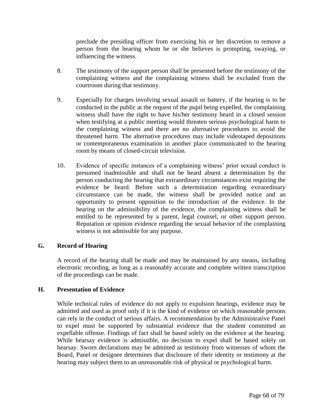preclude the presiding officer from exercising his or her discretion to remove a person from the hearing whom he or she believes is prompting, swaying, or influencing the witness.

- 8. The testimony of the support person shall be presented before the testimony of the complaining witness and the complaining witness shall be excluded from the courtroom during that testimony.
- 9. Especially for charges involving sexual assault or battery, if the hearing is to be conducted in the public at the request of the pupil being expelled, the complaining witness shall have the right to have his/her testimony heard in a closed session when testifying at a public meeting would threaten serious psychological harm to the complaining witness and there are no alternative procedures to avoid the threatened harm. The alternative procedures may include videotaped depositions or contemporaneous examination in another place communicated to the hearing room by means of closed-circuit television.
- 10. Evidence of specific instances of a complaining witness' prior sexual conduct is presumed inadmissible and shall not be heard absent a determination by the person conducting the hearing that extraordinary circumstances exist requiring the evidence be heard. Before such a determination regarding extraordinary circumstance can be made, the witness shall be provided notice and an opportunity to present opposition to the introduction of the evidence. In the hearing on the admissibility of the evidence, the complaining witness shall be entitled to be represented by a parent, legal counsel, or other support person. Reputation or opinion evidence regarding the sexual behavior of the complaining witness is not admissible for any purpose.

### **G. Record of Hearing**

A record of the hearing shall be made and may be maintained by any means, including electronic recording, as long as a reasonably accurate and complete written transcription of the proceedings can be made.

### **H. Presentation of Evidence**

While technical rules of evidence do not apply to expulsion hearings, evidence may be admitted and used as proof only if it is the kind of evidence on which reasonable persons can rely in the conduct of serious affairs. A recommendation by the Administrative Panel to expel must be supported by substantial evidence that the student committed an expellable offense. Findings of fact shall be based solely on the evidence at the hearing. While hearsay evidence is admissible, no decision to expel shall be based solely on hearsay. Sworn declarations may be admitted as testimony from witnesses of whom the Board, Panel or designee determines that disclosure of their identity or testimony at the hearing may subject them to an unreasonable risk of physical or psychological harm.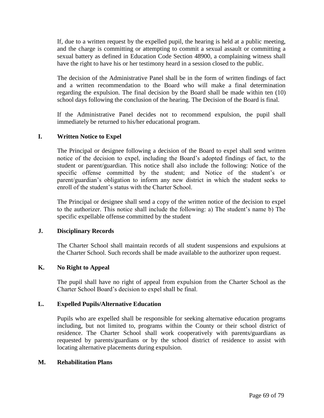If, due to a written request by the expelled pupil, the hearing is held at a public meeting, and the charge is committing or attempting to commit a sexual assault or committing a sexual battery as defined in Education Code Section 48900, a complaining witness shall have the right to have his or her testimony heard in a session closed to the public.

The decision of the Administrative Panel shall be in the form of written findings of fact and a written recommendation to the Board who will make a final determination regarding the expulsion. The final decision by the Board shall be made within ten (10) school days following the conclusion of the hearing. The Decision of the Board is final.

If the Administrative Panel decides not to recommend expulsion, the pupil shall immediately be returned to his/her educational program.

## **I. Written Notice to Expel**

The Principal or designee following a decision of the Board to expel shall send written notice of the decision to expel, including the Board's adopted findings of fact, to the student or parent/guardian. This notice shall also include the following: Notice of the specific offense committed by the student; and Notice of the student's or parent/guardian's obligation to inform any new district in which the student seeks to enroll of the student's status with the Charter School.

The Principal or designee shall send a copy of the written notice of the decision to expel to the authorizer. This notice shall include the following: a) The student's name b) The specific expellable offense committed by the student

### **J. Disciplinary Records**

The Charter School shall maintain records of all student suspensions and expulsions at the Charter School. Such records shall be made available to the authorizer upon request.

## **K. No Right to Appeal**

The pupil shall have no right of appeal from expulsion from the Charter School as the Charter School Board's decision to expel shall be final.

### **L. Expelled Pupils/Alternative Education**

Pupils who are expelled shall be responsible for seeking alternative education programs including, but not limited to, programs within the County or their school district of residence. The Charter School shall work cooperatively with parents/guardians as requested by parents/guardians or by the school district of residence to assist with locating alternative placements during expulsion.

### **M. Rehabilitation Plans**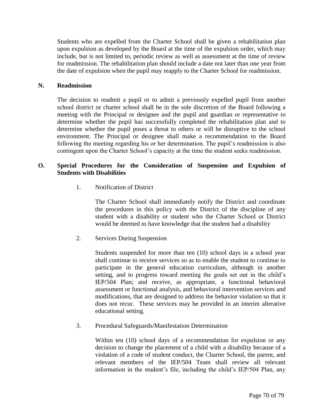Students who are expelled from the Charter School shall be given a rehabilitation plan upon expulsion as developed by the Board at the time of the expulsion order, which may include, but is not limited to, periodic review as well as assessment at the time of review for readmission. The rehabilitation plan should include a date not later than one year from the date of expulsion when the pupil may reapply to the Charter School for readmission.

## **N. Readmission**

The decision to readmit a pupil or to admit a previously expelled pupil from another school district or charter school shall be in the sole discretion of the Board following a meeting with the Principal or designee and the pupil and guardian or representative to determine whether the pupil has successfully completed the rehabilitation plan and to determine whether the pupil poses a threat to others or will be disruptive to the school environment. The Principal or designee shall make a recommendation to the Board following the meeting regarding his or her determination. The pupil's readmission is also contingent upon the Charter School's capacity at the time the student seeks readmission.

## **O. Special Procedures for the Consideration of Suspension and Expulsion of Students with Disabilities**

1. Notification of District

The Charter School shall immediately notify the District and coordinate the procedures in this policy with the District of the discipline of any student with a disability or student who the Charter School or District would be deemed to have knowledge that the student had a disability

2. Services During Suspension

Students suspended for more than ten (10) school days in a school year shall continue to receive services so as to enable the student to continue to participate in the general education curriculum, although in another setting, and to progress toward meeting the goals set out in the child's IEP/504 Plan; and receive, as appropriate, a functional behavioral assessment or functional analysis, and behavioral intervention services and modifications, that are designed to address the behavior violation so that it does not recur. These services may be provided in an interim alterative educational setting.

3. Procedural Safeguards/Manifestation Determination

Within ten (10) school days of a recommendation for expulsion or any decision to change the placement of a child with a disability because of a violation of a code of student conduct, the Charter School, the parent, and relevant members of the IEP/504 Team shall review all relevant information in the student's file, including the child's IEP/504 Plan, any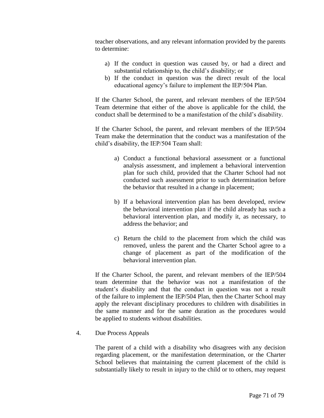teacher observations, and any relevant information provided by the parents to determine:

- a) If the conduct in question was caused by, or had a direct and substantial relationship to, the child's disability; or
- b) If the conduct in question was the direct result of the local educational agency's failure to implement the IEP/504 Plan.

If the Charter School, the parent, and relevant members of the IEP/504 Team determine that either of the above is applicable for the child, the conduct shall be determined to be a manifestation of the child's disability.

If the Charter School, the parent, and relevant members of the IEP/504 Team make the determination that the conduct was a manifestation of the child's disability, the IEP/504 Team shall:

- a) Conduct a functional behavioral assessment or a functional analysis assessment, and implement a behavioral intervention plan for such child, provided that the Charter School had not conducted such assessment prior to such determination before the behavior that resulted in a change in placement;
- b) If a behavioral intervention plan has been developed, review the behavioral intervention plan if the child already has such a behavioral intervention plan, and modify it, as necessary, to address the behavior; and
- c) Return the child to the placement from which the child was removed, unless the parent and the Charter School agree to a change of placement as part of the modification of the behavioral intervention plan.

If the Charter School, the parent, and relevant members of the IEP/504 team determine that the behavior was not a manifestation of the student's disability and that the conduct in question was not a result of the failure to implement the IEP/504 Plan, then the Charter School may apply the relevant disciplinary procedures to children with disabilities in the same manner and for the same duration as the procedures would be applied to students without disabilities.

4. Due Process Appeals

The parent of a child with a disability who disagrees with any decision regarding placement, or the manifestation determination, or the Charter School believes that maintaining the current placement of the child is substantially likely to result in injury to the child or to others, may request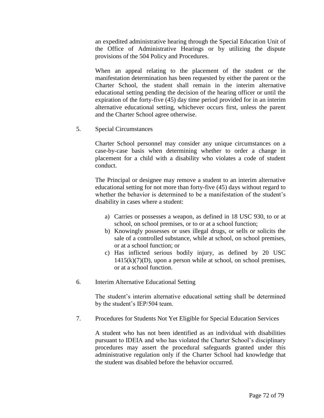an expedited administrative hearing through the Special Education Unit of the Office of Administrative Hearings or by utilizing the dispute provisions of the 504 Policy and Procedures.

When an appeal relating to the placement of the student or the manifestation determination has been requested by either the parent or the Charter School, the student shall remain in the interim alternative educational setting pending the decision of the hearing officer or until the expiration of the forty-five (45) day time period provided for in an interim alternative educational setting, whichever occurs first, unless the parent and the Charter School agree otherwise.

5. Special Circumstances

Charter School personnel may consider any unique circumstances on a case-by-case basis when determining whether to order a change in placement for a child with a disability who violates a code of student conduct.

The Principal or designee may remove a student to an interim alternative educational setting for not more than forty-five (45) days without regard to whether the behavior is determined to be a manifestation of the student's disability in cases where a student:

- a) Carries or possesses a weapon, as defined in 18 USC 930, to or at school, on school premises, or to or at a school function;
- b) Knowingly possesses or uses illegal drugs, or sells or solicits the sale of a controlled substance, while at school, on school premises, or at a school function; or
- c) Has inflicted serious bodily injury, as defined by 20 USC  $1415(k)(7)(D)$ , upon a person while at school, on school premises, or at a school function.
- 6. Interim Alternative Educational Setting

The student's interim alternative educational setting shall be determined by the student's IEP/504 team.

7. Procedures for Students Not Yet Eligible for Special Education Services

A student who has not been identified as an individual with disabilities pursuant to IDEIA and who has violated the Charter School's disciplinary procedures may assert the procedural safeguards granted under this administrative regulation only if the Charter School had knowledge that the student was disabled before the behavior occurred.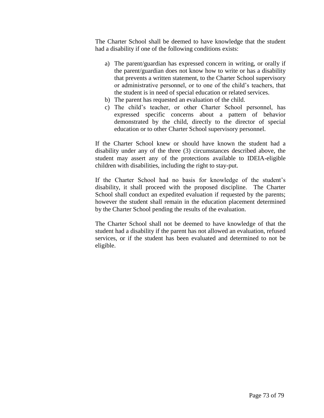The Charter School shall be deemed to have knowledge that the student had a disability if one of the following conditions exists:

- a) The parent/guardian has expressed concern in writing, or orally if the parent/guardian does not know how to write or has a disability that prevents a written statement, to the Charter School supervisory or administrative personnel, or to one of the child's teachers, that the student is in need of special education or related services.
- b) The parent has requested an evaluation of the child.
- c) The child's teacher, or other Charter School personnel, has expressed specific concerns about a pattern of behavior demonstrated by the child, directly to the director of special education or to other Charter School supervisory personnel.

If the Charter School knew or should have known the student had a disability under any of the three (3) circumstances described above, the student may assert any of the protections available to IDEIA-eligible children with disabilities, including the right to stay-put.

If the Charter School had no basis for knowledge of the student's disability, it shall proceed with the proposed discipline. The Charter School shall conduct an expedited evaluation if requested by the parents; however the student shall remain in the education placement determined by the Charter School pending the results of the evaluation.

The Charter School shall not be deemed to have knowledge of that the student had a disability if the parent has not allowed an evaluation, refused services, or if the student has been evaluated and determined to not be eligible.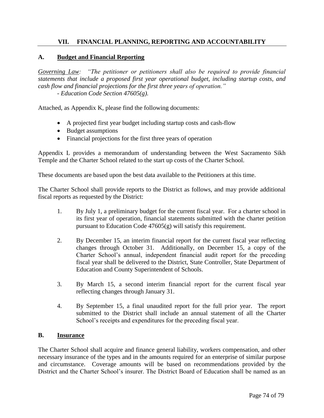## **VII. FINANCIAL PLANNING, REPORTING AND ACCOUNTABILITY**

### **A. Budget and Financial Reporting**

*Governing Law: "The petitioner or petitioners shall also be required to provide financial statements that include a proposed first year operational budget, including startup costs, and cash flow and financial projections for the first three years of operation." - Education Code Section 47605(g).*

Attached, as Appendix K, please find the following documents:

- A projected first year budget including startup costs and cash-flow
- Budget assumptions
- Financial projections for the first three years of operation

Appendix L provides a memorandum of understanding between the West Sacramento Sikh Temple and the Charter School related to the start up costs of the Charter School.

These documents are based upon the best data available to the Petitioners at this time.

The Charter School shall provide reports to the District as follows, and may provide additional fiscal reports as requested by the District:

- 1. By July 1, a preliminary budget for the current fiscal year. For a charter school in its first year of operation, financial statements submitted with the charter petition pursuant to Education Code 47605(g) will satisfy this requirement.
- 2. By December 15, an interim financial report for the current fiscal year reflecting changes through October 31. Additionally, on December 15, a copy of the Charter School's annual, independent financial audit report for the preceding fiscal year shall be delivered to the District, State Controller, State Department of Education and County Superintendent of Schools.
- 3. By March 15, a second interim financial report for the current fiscal year reflecting changes through January 31.
- 4. By September 15, a final unaudited report for the full prior year. The report submitted to the District shall include an annual statement of all the Charter School's receipts and expenditures for the preceding fiscal year.

### **B. Insurance**

The Charter School shall acquire and finance general liability, workers compensation, and other necessary insurance of the types and in the amounts required for an enterprise of similar purpose and circumstance. Coverage amounts will be based on recommendations provided by the District and the Charter School's insurer. The District Board of Education shall be named as an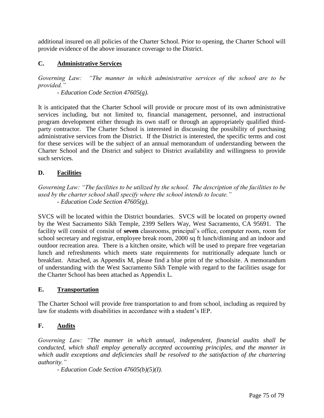additional insured on all policies of the Charter School. Prior to opening, the Charter School will provide evidence of the above insurance coverage to the District.

# **C. Administrative Services**

*Governing Law: "The manner in which administrative services of the school are to be provided."* 

*- Education Code Section 47605(g).*

It is anticipated that the Charter School will provide or procure most of its own administrative services including, but not limited to, financial management, personnel, and instructional program development either through its own staff or through an appropriately qualified thirdparty contractor. The Charter School is interested in discussing the possibility of purchasing administrative services from the District. If the District is interested, the specific terms and cost for these services will be the subject of an annual memorandum of understanding between the Charter School and the District and subject to District availability and willingness to provide such services.

# **D. Facilities**

*Governing Law: "The facilities to be utilized by the school. The description of the facilities to be used by the charter school shall specify where the school intends to locate." - Education Code Section 47605(g).*

SVCS will be located within the District boundaries. SVCS will be located on property owned by the West Sacramento Sikh Temple, 2399 Sellers Way, West Sacramento, CA 95691. The facility will consist of consist of **seven** classrooms, principal's office, computer room, room for school secretary and registrar, employee break room, 2000 sq ft lunch/dinning and an indoor and outdoor recreation area. There is a kitchen onsite, which will be used to prepare free vegetarian lunch and refreshments which meets state requirements for nutritionally adequate lunch or breakfast. Attached, as Appendix M, please find a blue print of the schoolsite. A memorandum of understanding with the West Sacramento Sikh Temple with regard to the facilities usage for the Charter School has been attached as Appendix L.

## **E. Transportation**

The Charter School will provide free transportation to and from school, including as required by law for students with disabilities in accordance with a student's IEP.

# **F. Audits**

*Governing Law: "The manner in which annual, independent, financial audits shall be conducted, which shall employ generally accepted accounting principles, and the manner in which audit exceptions and deficiencies shall be resolved to the satisfaction of the chartering authority."* 

*- Education Code Section 47605(b)(5)(I).*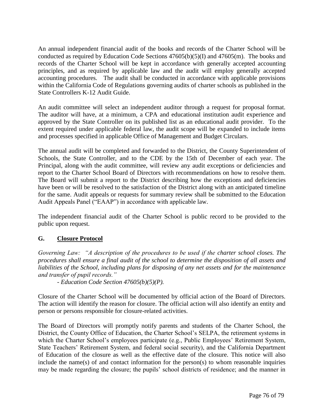An annual independent financial audit of the books and records of the Charter School will be conducted as required by Education Code Sections 47605(b)(5)(I) and 47605(m). The books and records of the Charter School will be kept in accordance with generally accepted accounting principles, and as required by applicable law and the audit will employ generally accepted accounting procedures. The audit shall be conducted in accordance with applicable provisions within the California Code of Regulations governing audits of charter schools as published in the State Controllers K-12 Audit Guide.

An audit committee will select an independent auditor through a request for proposal format. The auditor will have, at a minimum, a CPA and educational institution audit experience and approved by the State Controller on its published list as an educational audit provider. To the extent required under applicable federal law, the audit scope will be expanded to include items and processes specified in applicable Office of Management and Budget Circulars.

The annual audit will be completed and forwarded to the District, the County Superintendent of Schools, the State Controller, and to the CDE by the 15th of December of each year. The Principal, along with the audit committee, will review any audit exceptions or deficiencies and report to the Charter School Board of Directors with recommendations on how to resolve them. The Board will submit a report to the District describing how the exceptions and deficiencies have been or will be resolved to the satisfaction of the District along with an anticipated timeline for the same. Audit appeals or requests for summary review shall be submitted to the Education Audit Appeals Panel ("EAAP") in accordance with applicable law.

The independent financial audit of the Charter School is public record to be provided to the public upon request.

# **G. Closure Protocol**

*Governing Law: "A description of the procedures to be used if the charter school closes. The procedures shall ensure a final audit of the school to determine the disposition of all assets and liabilities of the School, including plans for disposing of any net assets and for the maintenance and transfer of pupil records."* 

*- Education Code Section 47605(b)(5)(P).*

Closure of the Charter School will be documented by official action of the Board of Directors. The action will identify the reason for closure. The official action will also identify an entity and person or persons responsible for closure-related activities.

The Board of Directors will promptly notify parents and students of the Charter School, the District, the County Office of Education, the Charter School's SELPA, the retirement systems in which the Charter School's employees participate (e.g., Public Employees' Retirement System, State Teachers' Retirement System, and federal social security), and the California Department of Education of the closure as well as the effective date of the closure. This notice will also include the name(s) of and contact information for the person(s) to whom reasonable inquiries may be made regarding the closure; the pupils' school districts of residence; and the manner in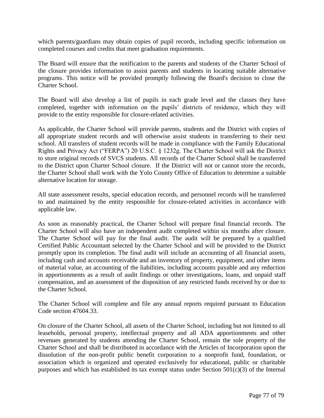which parents/guardians may obtain copies of pupil records, including specific information on completed courses and credits that meet graduation requirements.

The Board will ensure that the notification to the parents and students of the Charter School of the closure provides information to assist parents and students in locating suitable alternative programs. This notice will be provided promptly following the Board's decision to close the Charter School.

The Board will also develop a list of pupils in each grade level and the classes they have completed, together with information on the pupils' districts of residence, which they will provide to the entity responsible for closure-related activities.

As applicable, the Charter School will provide parents, students and the District with copies of all appropriate student records and will otherwise assist students in transferring to their next school. All transfers of student records will be made in compliance with the Family Educational Rights and Privacy Act ("FERPA") 20 U.S.C. § 1232g. The Charter School will ask the District to store original records of SVCS students. All records of the Charter School shall be transferred to the District upon Charter School closure. If the District will not or cannot store the records, the Charter School shall work with the Yolo County Office of Education to determine a suitable alternative location for storage.

All state assessment results, special education records, and personnel records will be transferred to and maintained by the entity responsible for closure-related activities in accordance with applicable law.

As soon as reasonably practical, the Charter School will prepare final financial records. The Charter School will also have an independent audit completed within six months after closure. The Charter School will pay for the final audit. The audit will be prepared by a qualified Certified Public Accountant selected by the Charter School and will be provided to the District promptly upon its completion. The final audit will include an accounting of all financial assets, including cash and accounts receivable and an inventory of property, equipment, and other items of material value, an accounting of the liabilities, including accounts payable and any reduction in apportionments as a result of audit findings or other investigations, loans, and unpaid staff compensation, and an assessment of the disposition of any restricted funds received by or due to the Charter School.

The Charter School will complete and file any annual reports required pursuant to Education Code section 47604.33.

On closure of the Charter School, all assets of the Charter School, including but not limited to all leaseholds, personal property, intellectual property and all ADA apportionments and other revenues generated by students attending the Charter School, remain the sole property of the Charter School and shall be distributed in accordance with the Articles of Incorporation upon the dissolution of the non-profit public benefit corporation to a nonprofit fund, foundation, or association which is organized and operated exclusively for educational, public or charitable purposes and which has established its tax exempt status under Section 501(c)(3) of the Internal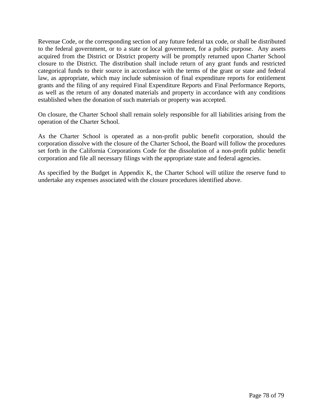Revenue Code, or the corresponding section of any future federal tax code, or shall be distributed to the federal government, or to a state or local government, for a public purpose. Any assets acquired from the District or District property will be promptly returned upon Charter School closure to the District. The distribution shall include return of any grant funds and restricted categorical funds to their source in accordance with the terms of the grant or state and federal law, as appropriate, which may include submission of final expenditure reports for entitlement grants and the filing of any required Final Expenditure Reports and Final Performance Reports, as well as the return of any donated materials and property in accordance with any conditions established when the donation of such materials or property was accepted.

On closure, the Charter School shall remain solely responsible for all liabilities arising from the operation of the Charter School.

As the Charter School is operated as a non-profit public benefit corporation, should the corporation dissolve with the closure of the Charter School, the Board will follow the procedures set forth in the California Corporations Code for the dissolution of a non-profit public benefit corporation and file all necessary filings with the appropriate state and federal agencies.

As specified by the Budget in Appendix K, the Charter School will utilize the reserve fund to undertake any expenses associated with the closure procedures identified above.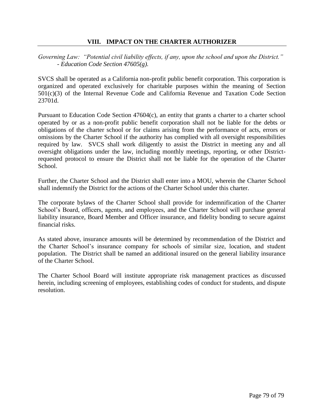## **VIII. IMPACT ON THE CHARTER AUTHORIZER**

*Governing Law: "Potential civil liability effects, if any, upon the school and upon the District." - Education Code Section 47605(g).*

SVCS shall be operated as a California non-profit public benefit corporation. This corporation is organized and operated exclusively for charitable purposes within the meaning of Section 501(c)(3) of the Internal Revenue Code and California Revenue and Taxation Code Section 23701d.

Pursuant to Education Code Section 47604(c), an entity that grants a charter to a charter school operated by or as a non-profit public benefit corporation shall not be liable for the debts or obligations of the charter school or for claims arising from the performance of acts, errors or omissions by the Charter School if the authority has complied with all oversight responsibilities required by law. SVCS shall work diligently to assist the District in meeting any and all oversight obligations under the law, including monthly meetings, reporting, or other Districtrequested protocol to ensure the District shall not be liable for the operation of the Charter School.

Further, the Charter School and the District shall enter into a MOU, wherein the Charter School shall indemnify the District for the actions of the Charter School under this charter.

The corporate bylaws of the Charter School shall provide for indemnification of the Charter School's Board, officers, agents, and employees, and the Charter School will purchase general liability insurance, Board Member and Officer insurance, and fidelity bonding to secure against financial risks.

As stated above, insurance amounts will be determined by recommendation of the District and the Charter School's insurance company for schools of similar size, location, and student population. The District shall be named an additional insured on the general liability insurance of the Charter School.

The Charter School Board will institute appropriate risk management practices as discussed herein, including screening of employees, establishing codes of conduct for students, and dispute resolution.